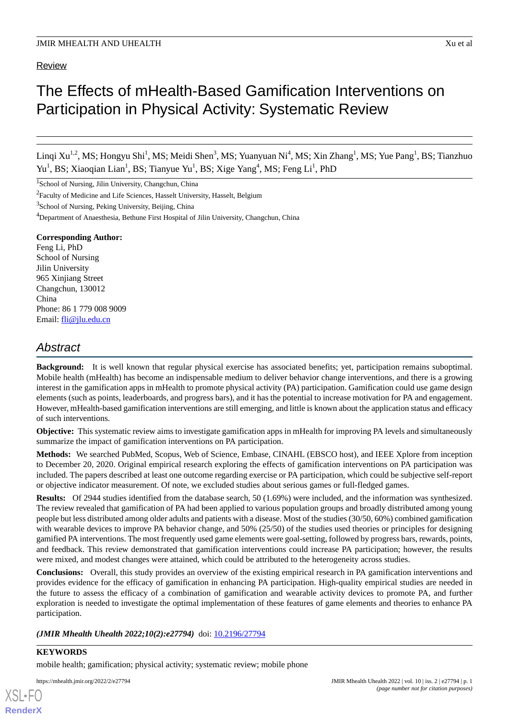## Review

# The Effects of mHealth-Based Gamification Interventions on Participation in Physical Activity: Systematic Review

Linqi Xu<sup>1,2</sup>, MS; Hongyu Shi<sup>1</sup>, MS; Meidi Shen<sup>3</sup>, MS; Yuanyuan Ni<sup>4</sup>, MS; Xin Zhang<sup>1</sup>, MS; Yue Pang<sup>1</sup>, BS; Tianzhuo Yu<sup>1</sup>, BS; Xiaoqian Lian<sup>1</sup>, BS; Tianyue Yu<sup>1</sup>, BS; Xige Yang<sup>4</sup>, MS; Feng Li<sup>1</sup>, PhD

<sup>1</sup>School of Nursing, Jilin University, Changchun, China

<sup>2</sup> Faculty of Medicine and Life Sciences, Hasselt University, Hasselt, Belgium

<sup>3</sup>School of Nursing, Peking University, Beijing, China

<sup>4</sup>Department of Anaesthesia, Bethune First Hospital of Jilin University, Changchun, China

## **Corresponding Author:**

Feng Li, PhD School of Nursing Jilin University 965 Xinjiang Street Changchun, 130012 China Phone: 86 1 779 008 9009 Email: [fli@jlu.edu.cn](mailto:fli@jlu.edu.cn)

# *Abstract*

**Background:** It is well known that regular physical exercise has associated benefits; yet, participation remains suboptimal. Mobile health (mHealth) has become an indispensable medium to deliver behavior change interventions, and there is a growing interest in the gamification apps in mHealth to promote physical activity (PA) participation. Gamification could use game design elements (such as points, leaderboards, and progress bars), and it has the potential to increase motivation for PA and engagement. However, mHealth-based gamification interventions are still emerging, and little is known about the application status and efficacy of such interventions.

**Objective:** This systematic review aims to investigate gamification apps in mHealth for improving PA levels and simultaneously summarize the impact of gamification interventions on PA participation.

**Methods:** We searched PubMed, Scopus, Web of Science, Embase, CINAHL (EBSCO host), and IEEE Xplore from inception to December 20, 2020. Original empirical research exploring the effects of gamification interventions on PA participation was included. The papers described at least one outcome regarding exercise or PA participation, which could be subjective self-report or objective indicator measurement. Of note, we excluded studies about serious games or full-fledged games.

**Results:** Of 2944 studies identified from the database search, 50 (1.69%) were included, and the information was synthesized. The review revealed that gamification of PA had been applied to various population groups and broadly distributed among young people but less distributed among older adults and patients with a disease. Most of the studies (30/50, 60%) combined gamification with wearable devices to improve PA behavior change, and 50% (25/50) of the studies used theories or principles for designing gamified PA interventions. The most frequently used game elements were goal-setting, followed by progress bars, rewards, points, and feedback. This review demonstrated that gamification interventions could increase PA participation; however, the results were mixed, and modest changes were attained, which could be attributed to the heterogeneity across studies.

**Conclusions:** Overall, this study provides an overview of the existing empirical research in PA gamification interventions and provides evidence for the efficacy of gamification in enhancing PA participation. High-quality empirical studies are needed in the future to assess the efficacy of a combination of gamification and wearable activity devices to promote PA, and further exploration is needed to investigate the optimal implementation of these features of game elements and theories to enhance PA participation.

## *(JMIR Mhealth Uhealth 2022;10(2):e27794)* doi: [10.2196/27794](http://dx.doi.org/10.2196/27794)

## **KEYWORDS**

[XSL](http://www.w3.org/Style/XSL)•FO **[RenderX](http://www.renderx.com/)**

mobile health; gamification; physical activity; systematic review; mobile phone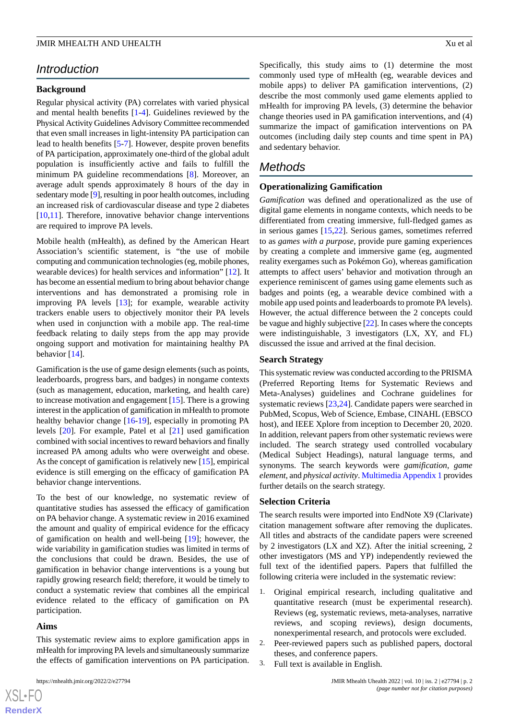# *Introduction*

## **Background**

Regular physical activity (PA) correlates with varied physical and mental health benefits [\[1](#page-12-0)[-4](#page-13-0)]. Guidelines reviewed by the Physical Activity Guidelines Advisory Committee recommended that even small increases in light-intensity PA participation can lead to health benefits [[5-](#page-13-1)[7\]](#page-13-2). However, despite proven benefits of PA participation, approximately one-third of the global adult population is insufficiently active and fails to fulfill the minimum PA guideline recommendations [[8\]](#page-13-3). Moreover, an average adult spends approximately 8 hours of the day in sedentary mode [\[9\]](#page-13-4), resulting in poor health outcomes, including an increased risk of cardiovascular disease and type 2 diabetes  $[10,11]$  $[10,11]$  $[10,11]$  $[10,11]$ . Therefore, innovative behavior change interventions are required to improve PA levels.

Mobile health (mHealth), as defined by the American Heart Association's scientific statement, is "the use of mobile computing and communication technologies (eg, mobile phones, wearable devices) for health services and information" [\[12](#page-13-7)]. It has become an essential medium to bring about behavior change interventions and has demonstrated a promising role in improving PA levels [\[13](#page-13-8)]; for example, wearable activity trackers enable users to objectively monitor their PA levels when used in conjunction with a mobile app. The real-time feedback relating to daily steps from the app may provide ongoing support and motivation for maintaining healthy PA behavior [\[14](#page-13-9)].

Gamification is the use of game design elements (such as points, leaderboards, progress bars, and badges) in nongame contexts (such as management, education, marketing, and health care) to increase motivation and engagement [[15\]](#page-13-10). There is a growing interest in the application of gamification in mHealth to promote healthy behavior change [\[16](#page-13-11)-[19\]](#page-13-12), especially in promoting PA levels [[20\]](#page-13-13). For example, Patel et al [\[21](#page-13-14)] used gamification combined with social incentives to reward behaviors and finally increased PA among adults who were overweight and obese. As the concept of gamification is relatively new [[15\]](#page-13-10), empirical evidence is still emerging on the efficacy of gamification PA behavior change interventions.

To the best of our knowledge, no systematic review of quantitative studies has assessed the efficacy of gamification on PA behavior change. A systematic review in 2016 examined the amount and quality of empirical evidence for the efficacy of gamification on health and well-being [[19\]](#page-13-12); however, the wide variability in gamification studies was limited in terms of the conclusions that could be drawn. Besides, the use of gamification in behavior change interventions is a young but rapidly growing research field; therefore, it would be timely to conduct a systematic review that combines all the empirical evidence related to the efficacy of gamification on PA participation.

#### **Aims**

 $XSI - F($ **[RenderX](http://www.renderx.com/)**

This systematic review aims to explore gamification apps in mHealth for improving PA levels and simultaneously summarize the effects of gamification interventions on PA participation.

Specifically, this study aims to (1) determine the most commonly used type of mHealth (eg, wearable devices and mobile apps) to deliver PA gamification interventions, (2) describe the most commonly used game elements applied to mHealth for improving PA levels, (3) determine the behavior change theories used in PA gamification interventions, and (4) summarize the impact of gamification interventions on PA outcomes (including daily step counts and time spent in PA) and sedentary behavior.

## *Methods*

#### **Operationalizing Gamification**

*Gamification* was defined and operationalized as the use of digital game elements in nongame contexts, which needs to be differentiated from creating immersive, full-fledged games as in serious games [[15,](#page-13-10)[22](#page-14-0)]. Serious games, sometimes referred to as *games with a purpose*, provide pure gaming experiences by creating a complete and immersive game (eg, augmented reality exergames such as Pokémon Go), whereas gamification attempts to affect users' behavior and motivation through an experience reminiscent of games using game elements such as badges and points (eg, a wearable device combined with a mobile app used points and leaderboards to promote PA levels). However, the actual difference between the 2 concepts could be vague and highly subjective [\[22\]](#page-14-0). In cases where the concepts were indistinguishable, 3 investigators (LX, XY, and FL) discussed the issue and arrived at the final decision.

## **Search Strategy**

This systematic review was conducted according to the PRISMA (Preferred Reporting Items for Systematic Reviews and Meta-Analyses) guidelines and Cochrane guidelines for systematic reviews [\[23](#page-14-1),[24\]](#page-14-2). Candidate papers were searched in PubMed, Scopus, Web of Science, Embase, CINAHL (EBSCO host), and IEEE Xplore from inception to December 20, 2020. In addition, relevant papers from other systematic reviews were included. The search strategy used controlled vocabulary (Medical Subject Headings), natural language terms, and synonyms. The search keywords were *gamification*, *game element*, and *physical activity*. [Multimedia Appendix 1](#page-12-1) provides further details on the search strategy.

#### **Selection Criteria**

The search results were imported into EndNote X9 (Clarivate) citation management software after removing the duplicates. All titles and abstracts of the candidate papers were screened by 2 investigators (LX and XZ). After the initial screening, 2 other investigators (MS and YP) independently reviewed the full text of the identified papers. Papers that fulfilled the following criteria were included in the systematic review:

- 1. Original empirical research, including qualitative and quantitative research (must be experimental research). Reviews (eg, systematic reviews, meta-analyses, narrative reviews, and scoping reviews), design documents, nonexperimental research, and protocols were excluded.
- 2. Peer-reviewed papers such as published papers, doctoral theses, and conference papers.
- 3. Full text is available in English.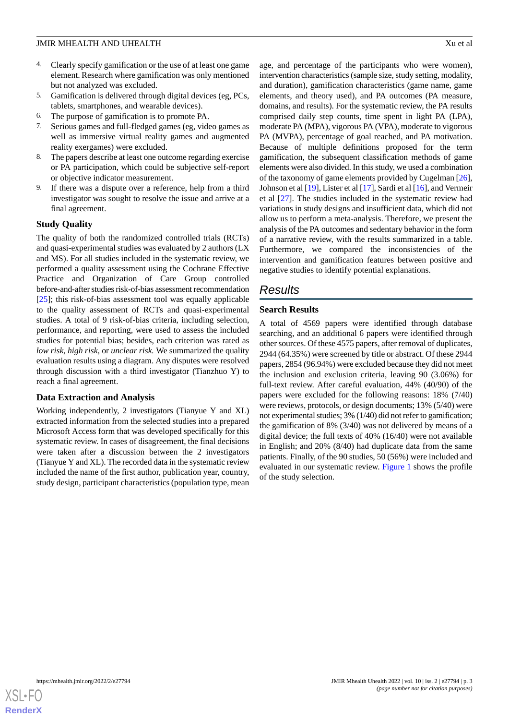- 4. Clearly specify gamification or the use of at least one game element. Research where gamification was only mentioned but not analyzed was excluded.
- 5. Gamification is delivered through digital devices (eg, PCs, tablets, smartphones, and wearable devices).
- 6. The purpose of gamification is to promote PA.
- 7. Serious games and full-fledged games (eg, video games as well as immersive virtual reality games and augmented reality exergames) were excluded.
- 8. The papers describe at least one outcome regarding exercise or PA participation, which could be subjective self-report or objective indicator measurement.
- 9. If there was a dispute over a reference, help from a third investigator was sought to resolve the issue and arrive at a final agreement.

## **Study Quality**

The quality of both the randomized controlled trials (RCTs) and quasi-experimental studies was evaluated by 2 authors (LX and MS). For all studies included in the systematic review, we performed a quality assessment using the Cochrane Effective Practice and Organization of Care Group controlled before-and-after studies risk-of-bias assessment recommendation [[25\]](#page-14-3); this risk-of-bias assessment tool was equally applicable to the quality assessment of RCTs and quasi-experimental studies. A total of 9 risk-of-bias criteria, including selection, performance, and reporting, were used to assess the included studies for potential bias; besides, each criterion was rated as *low risk*, *high risk*, or *unclear risk.* We summarized the quality evaluation results using a diagram. Any disputes were resolved through discussion with a third investigator (Tianzhuo Y) to reach a final agreement.

## **Data Extraction and Analysis**

Working independently, 2 investigators (Tianyue Y and XL) extracted information from the selected studies into a prepared Microsoft Access form that was developed specifically for this systematic review. In cases of disagreement, the final decisions were taken after a discussion between the 2 investigators (Tianyue Y and XL). The recorded data in the systematic review included the name of the first author, publication year, country, study design, participant characteristics (population type, mean

age, and percentage of the participants who were women), intervention characteristics (sample size, study setting, modality, and duration), gamification characteristics (game name, game elements, and theory used), and PA outcomes (PA measure, domains, and results). For the systematic review, the PA results comprised daily step counts, time spent in light PA (LPA), moderate PA (MPA), vigorous PA (VPA), moderate to vigorous PA (MVPA), percentage of goal reached, and PA motivation. Because of multiple definitions proposed for the term gamification, the subsequent classification methods of game elements were also divided. In this study, we used a combination of the taxonomy of game elements provided by Cugelman [[26\]](#page-14-4), Johnson et al [[19\]](#page-13-12), Lister et al [\[17](#page-13-15)], Sardi et al [\[16](#page-13-11)], and Vermeir et al [\[27](#page-14-5)]. The studies included in the systematic review had variations in study designs and insufficient data, which did not allow us to perform a meta-analysis. Therefore, we present the analysis of the PA outcomes and sedentary behavior in the form of a narrative review, with the results summarized in a table. Furthermore, we compared the inconsistencies of the intervention and gamification features between positive and negative studies to identify potential explanations.

# *Results*

## **Search Results**

A total of 4569 papers were identified through database searching, and an additional 6 papers were identified through other sources. Of these 4575 papers, after removal of duplicates, 2944 (64.35%) were screened by title or abstract. Of these 2944 papers, 2854 (96.94%) were excluded because they did not meet the inclusion and exclusion criteria, leaving 90 (3.06%) for full-text review. After careful evaluation, 44% (40/90) of the papers were excluded for the following reasons: 18% (7/40) were reviews, protocols, or design documents; 13% (5/40) were not experimental studies; 3% (1/40) did not refer to gamification; the gamification of 8% (3/40) was not delivered by means of a digital device; the full texts of 40% (16/40) were not available in English; and 20% (8/40) had duplicate data from the same patients. Finally, of the 90 studies, 50 (56%) were included and evaluated in our systematic review. [Figure 1](#page-3-0) shows the profile of the study selection.

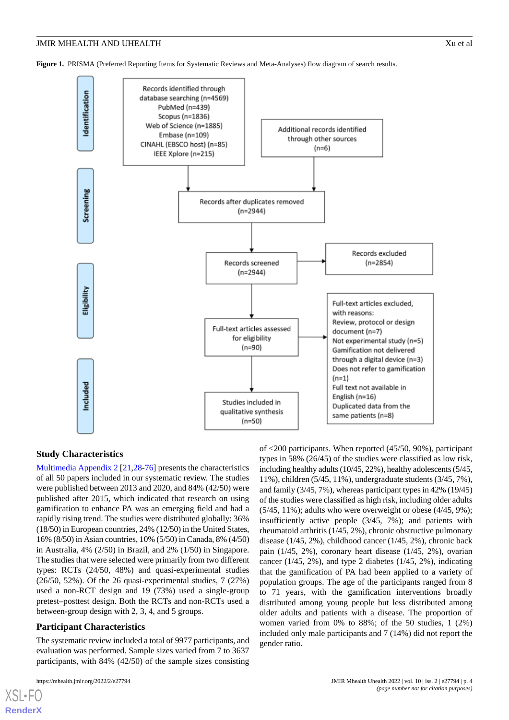<span id="page-3-0"></span>**Figure 1.** PRISMA (Preferred Reporting Items for Systematic Reviews and Meta-Analyses) flow diagram of search results.



#### **Study Characteristics**

[Multimedia Appendix 2](#page-12-2) [[21,](#page-13-14)[28](#page-14-6)-[76\]](#page-16-0) presents the characteristics of all 50 papers included in our systematic review. The studies were published between 2013 and 2020, and 84% (42/50) were published after 2015, which indicated that research on using gamification to enhance PA was an emerging field and had a rapidly rising trend. The studies were distributed globally: 36% (18/50) in European countries, 24% (12/50) in the United States, 16% (8/50) in Asian countries, 10% (5/50) in Canada, 8% (4/50) in Australia, 4% (2/50) in Brazil, and 2% (1/50) in Singapore. The studies that were selected were primarily from two different types: RCTs (24/50, 48%) and quasi-experimental studies (26/50, 52%). Of the 26 quasi-experimental studies, 7 (27%) used a non-RCT design and 19 (73%) used a single-group pretest–posttest design. Both the RCTs and non-RCTs used a between-group design with 2, 3, 4, and 5 groups.

#### **Participant Characteristics**

The systematic review included a total of 9977 participants, and evaluation was performed. Sample sizes varied from 7 to 3637 participants, with 84% (42/50) of the sample sizes consisting

[XSL](http://www.w3.org/Style/XSL)•FO **[RenderX](http://www.renderx.com/)**

of <200 participants. When reported (45/50, 90%), participant types in 58% (26/45) of the studies were classified as low risk, including healthy adults (10/45, 22%), healthy adolescents (5/45, 11%), children (5/45, 11%), undergraduate students (3/45, 7%), and family (3/45, 7%), whereas participant types in 42% (19/45) of the studies were classified as high risk, including older adults  $(5/45, 11\%)$ ; adults who were overweight or obese  $(4/45, 9\%)$ ; insufficiently active people (3/45, 7%); and patients with rheumatoid arthritis (1/45, 2%), chronic obstructive pulmonary disease (1/45, 2%), childhood cancer (1/45, 2%), chronic back pain (1/45, 2%), coronary heart disease (1/45, 2%), ovarian cancer ( $1/45$ ,  $2\%$ ), and type 2 diabetes ( $1/45$ ,  $2\%$ ), indicating that the gamification of PA had been applied to a variety of population groups. The age of the participants ranged from 8 to 71 years, with the gamification interventions broadly distributed among young people but less distributed among older adults and patients with a disease. The proportion of women varied from 0% to 88%; of the 50 studies, 1 (2%) included only male participants and 7 (14%) did not report the gender ratio.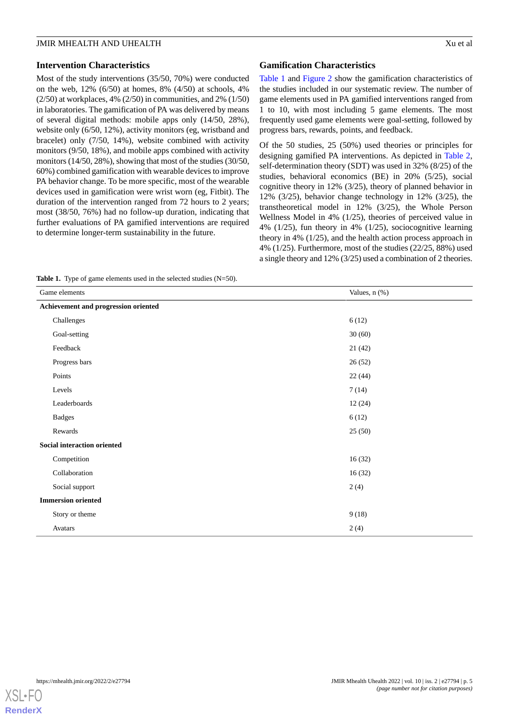## **Intervention Characteristics**

Most of the study interventions (35/50, 70%) were conducted on the web, 12% (6/50) at homes, 8% (4/50) at schools, 4%  $(2/50)$  at workplaces, 4%  $(2/50)$  in communities, and 2%  $(1/50)$ in laboratories. The gamification of PA was delivered by means of several digital methods: mobile apps only (14/50, 28%), website only (6/50, 12%), activity monitors (eg, wristband and bracelet) only (7/50, 14%), website combined with activity monitors (9/50, 18%), and mobile apps combined with activity monitors (14/50, 28%), showing that most of the studies (30/50, 60%) combined gamification with wearable devices to improve PA behavior change. To be more specific, most of the wearable devices used in gamification were wrist worn (eg, Fitbit). The duration of the intervention ranged from 72 hours to 2 years; most (38/50, 76%) had no follow-up duration, indicating that further evaluations of PA gamified interventions are required to determine longer-term sustainability in the future.

## **Gamification Characteristics**

[Table 1](#page-4-0) and [Figure 2](#page-5-0) show the gamification characteristics of the studies included in our systematic review. The number of game elements used in PA gamified interventions ranged from 1 to 10, with most including 5 game elements. The most frequently used game elements were goal-setting, followed by progress bars, rewards, points, and feedback.

Of the 50 studies, 25 (50%) used theories or principles for designing gamified PA interventions. As depicted in [Table 2](#page-5-1), self-determination theory (SDT) was used in 32% (8/25) of the studies, behavioral economics (BE) in 20% (5/25), social cognitive theory in 12% (3/25), theory of planned behavior in 12% (3/25), behavior change technology in 12% (3/25), the transtheoretical model in 12% (3/25), the Whole Person Wellness Model in 4% (1/25), theories of perceived value in 4% (1/25), fun theory in 4% (1/25), sociocognitive learning theory in 4% (1/25), and the health action process approach in 4% (1/25). Furthermore, most of the studies (22/25, 88%) used a single theory and 12% (3/25) used a combination of 2 theories.

<span id="page-4-0"></span>**Table 1.** Type of game elements used in the selected studies (N=50).

| Game elements                        | Values, n (%) |  |  |
|--------------------------------------|---------------|--|--|
| Achievement and progression oriented |               |  |  |
| Challenges                           | 6(12)         |  |  |
| Goal-setting                         | 30(60)        |  |  |
| Feedback                             | 21(42)        |  |  |
| Progress bars                        | 26(52)        |  |  |
| Points                               | 22(44)        |  |  |
| Levels                               | 7(14)         |  |  |
| Leaderboards                         | 12(24)        |  |  |
| <b>Badges</b>                        | 6(12)         |  |  |
| Rewards                              | 25(50)        |  |  |
| Social interaction oriented          |               |  |  |
| Competition                          | 16(32)        |  |  |
| Collaboration                        | 16(32)        |  |  |
| Social support                       | 2(4)          |  |  |
| <b>Immersion oriented</b>            |               |  |  |
| Story or theme                       | 9(18)         |  |  |
| Avatars                              | 2(4)          |  |  |

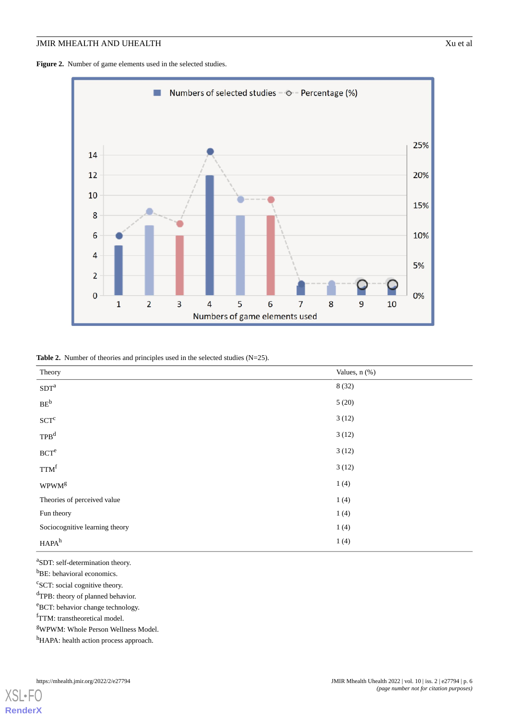<span id="page-5-0"></span>**Figure 2.** Number of game elements used in the selected studies.



<span id="page-5-1"></span>Table 2. Number of theories and principles used in the selected studies (N=25).

| Theory                                          | Values, n (%) |
|-------------------------------------------------|---------------|
| $\mathrm{SDT}^\mathrm{a}$                       | 8(32)         |
| $\mathrm{BE}^{\mathrm{b}}$                      | 5(20)         |
| $\ensuremath{\mathrm{S}\mathrm{CT}}^\mathrm{c}$ | 3(12)         |
| TPB <sup>d</sup>                                | 3(12)         |
| $\ensuremath{\mathrm{BCT}^{\mathrm{e}}}$        | 3(12)         |
| TTM <sup>f</sup>                                | 3(12)         |
| $\ensuremath{\mathsf{WPWM}}^g$                  | 1(4)          |
| Theories of perceived value                     | 1(4)          |
| Fun theory                                      | 1(4)          |
| Sociocognitive learning theory                  | 1(4)          |
| HAPA <sup>h</sup>                               | 1(4)          |

a SDT: self-determination theory.

<sup>b</sup>BE: behavioral economics.

<sup>c</sup>SCT: social cognitive theory.

<sup>d</sup>TPB: theory of planned behavior.

<sup>e</sup>BCT: behavior change technology.

fTTM: transtheoretical model.

<sup>g</sup>WPWM: Whole Person Wellness Model.

hHAPA: health action process approach.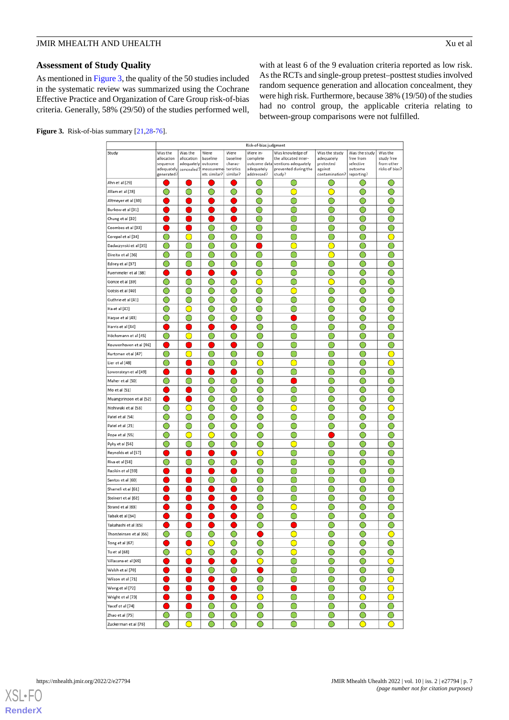## **Assessment of Study Quality**

As mentioned in [Figure 3,](#page-6-0) the quality of the 50 studies included in the systematic review was summarized using the Cochrane Effective Practice and Organization of Care Group risk-of-bias criteria. Generally, 58% (29/50) of the studies performed well, with at least 6 of the 9 evaluation criteria reported as low risk. As the RCTs and single-group pretest–posttest studies involved random sequence generation and allocation concealment, they were high risk. Furthermore, because 38% (19/50) of the studies had no control group, the applicable criteria relating to between-group comparisons were not fulfilled.

<span id="page-6-0"></span>

|  | <b>Figure 3.</b> Risk-of-bias summary $[21,28-76]$ . |  |  |
|--|------------------------------------------------------|--|--|
|--|------------------------------------------------------|--|--|

|                                       | Risk-of-bias judgment  |            |                                 |                        |                                               |                                                          |                          |                                               |                                        |
|---------------------------------------|------------------------|------------|---------------------------------|------------------------|-----------------------------------------------|----------------------------------------------------------|--------------------------|-----------------------------------------------|----------------------------------------|
| Study                                 | Was the                | Was the    | Were                            | Were                   | Were in-                                      | Was knowledge of                                         | Was the study            | Was the study                                 | Was the                                |
|                                       | allocation             | allocation | baseline                        | baseline               | complete                                      | the allocated inter-                                     | adequately               | free from                                     | study free                             |
|                                       | sequence<br>adequately | adequately | outcome<br>concealed? measureme | charac-<br>teristics   | adequately                                    | outcome data ventions adequately<br>prevented during the | protected<br>against     | selective<br>outcome                          | from other<br>risks of bias?           |
|                                       | generated?             |            | nts similar?                    | similar?               | addressed?                                    | study?                                                   | contamination?           | reporting?                                    |                                        |
| Ahn et al [29]                        |                        |            |                                 |                        | 0                                             | 0                                                        | 0                        | 0                                             | 0                                      |
| Allam et al [28]                      | ○                      | 0          | $\bigcirc$                      | O                      | $\bigcirc$                                    | O                                                        | ◯                        | 0                                             | $\bigcirc$                             |
| Altmeyer et al [30]                   |                        |            |                                 |                        | ∩                                             |                                                          | ∩                        | ∩                                             | ∩                                      |
| Burkow et al [31]                     |                        |            |                                 |                        | ◯                                             |                                                          | ◯                        |                                               |                                        |
| Chung et al [32]                      |                        |            |                                 |                        | ∩                                             |                                                          | ∩                        | ∩                                             | ∩                                      |
| Coombes et al [33]                    |                        |            | 0                               | $\scriptstyle\bigcirc$ | C                                             |                                                          | 0                        |                                               |                                        |
| Corepal et al [34]                    |                        |            | C                               |                        | C                                             |                                                          | C                        |                                               |                                        |
| Dadaczynski et al [35]                |                        |            |                                 |                        |                                               |                                                          |                          |                                               |                                        |
| Direito et al [36]                    |                        |            | ◯                               | 0                      | ∩                                             |                                                          | $\bigcirc$               | ∩                                             |                                        |
| Edney et al [37]                      |                        | 0          | $\scriptstyle\bigcap$           | 0                      | $\bigcirc$                                    |                                                          | $\scriptstyle\bigcirc$   | $\bigcirc$                                    |                                        |
| Fuemmeler et al [38]                  |                        |            |                                 |                        | O                                             | 0                                                        | 0                        | ∩                                             |                                        |
| Gonze et al [39]                      | ○                      | ◯          | ∩                               | ◯                      | C                                             |                                                          | 0                        | O                                             |                                        |
| Gotsis et al [40]                     |                        | ◯          | ◯                               | 0                      | ◯                                             | Œ                                                        | ◯                        | ◯                                             |                                        |
| Guthrie et al [41]                    | ( )                    |            | ( )                             | ( )                    | 0                                             |                                                          | 0                        | 0                                             | ( )                                    |
| Ha et al [42]                         | 0                      |            | ( )                             |                        | 0                                             |                                                          | 0                        | $\left(\begin{array}{c} \end{array}\right)$   |                                        |
| Haque et al [43]                      |                        |            | C                               | ◯                      | ◯                                             |                                                          | ◯                        | C                                             |                                        |
| Harris et al [44]                     |                        |            |                                 |                        | $\left(\begin{array}{c} \end{array}\right)$   |                                                          | ◯                        | ◯                                             |                                        |
| Höchsmann et al [45]                  | ∩                      | $\bigcirc$ | ∩                               | ∩                      | $\left( \begin{array}{c} \end{array} \right)$ |                                                          | ◯                        | $\left( \begin{array}{c} \end{array} \right)$ |                                        |
| Kouwenhoven et al [46]                |                        |            |                                 |                        | 0                                             |                                                          | 0                        | O                                             |                                        |
| Kurtzman et al [47]                   | ◯                      | C          | €                               | ∩                      |                                               |                                                          | €                        |                                               |                                        |
| Lier et al [48]                       | $\bigcirc$             |            | $\bigcirc$                      | 0                      |                                               |                                                          | ○                        | $\bigcirc$                                    | $\begin{array}{c} \square \end{array}$ |
| Lowensteyn et al [49]                 |                        |            |                                 |                        |                                               |                                                          | ∩                        |                                               | ○                                      |
| Maher et al [50]                      |                        |            | $\scriptstyle\bigcap$           |                        |                                               |                                                          |                          |                                               |                                        |
| Mo et al [51]                         |                        |            | C                               |                        |                                               |                                                          | €                        |                                               |                                        |
| Muangsrinoon et al [52]               |                        |            | ◯                               |                        |                                               |                                                          | ◯                        | ◯                                             |                                        |
| Nishiwaki et al [53]                  | ◠                      | C          | O                               | ∩                      |                                               |                                                          | ○                        | ◯                                             |                                        |
| Patel et al [54]                      |                        |            | ( )                             |                        | 0                                             |                                                          | 0                        | $\bigcirc$                                    |                                        |
| Patel et al [21]                      |                        |            | С                               |                        |                                               |                                                          | ◯                        |                                               |                                        |
| Pope et al [55]                       |                        |            | C                               |                        |                                               |                                                          |                          |                                               |                                        |
| Pyky et al [56]                       |                        | C          | ◯                               | ◯                      |                                               |                                                          | ◯                        | C                                             | ◠                                      |
| Reynolds et al [57]                   |                        |            |                                 |                        | O                                             |                                                          |                          |                                               |                                        |
| Riva et al [58]                       |                        |            | C                               |                        |                                               |                                                          | €                        |                                               |                                        |
| Razikin et al [59]                    |                        |            |                                 |                        |                                               |                                                          |                          |                                               |                                        |
| Santos et al [60]                     |                        |            | C                               |                        |                                               |                                                          | O                        | ◯                                             |                                        |
| Shameli et al [61]                    |                        |            |                                 |                        |                                               |                                                          | O                        | 0                                             |                                        |
| Steinert et al [62]                   |                        |            |                                 |                        |                                               |                                                          | C                        |                                               |                                        |
| Strand et al [63]                     |                        |            |                                 |                        |                                               |                                                          |                          |                                               |                                        |
| Tabak et al [64]                      |                        |            |                                 |                        |                                               |                                                          | ∩                        | ∩                                             | ◯                                      |
| Takahashi et al [65]                  |                        |            |                                 |                        | O                                             |                                                          | O                        | $\cup$                                        |                                        |
| Thorsteinsen et al [66]               | $\bigcirc$             | О          | О                               | $\bigcirc$             |                                               | $\bigcirc$                                               | $\bigcirc$               | $\bigcirc$                                    | $\bigcirc$                             |
| Tong et al [67]                       | $\Box$                 | Ð          | $\bigcirc$                      | $\bigcirc$             | $\bigcirc$                                    | $\circ$                                                  | $\bigcirc$               | $\bigcirc$                                    | $\bigcirc$                             |
| Tu et al [68]                         | $\bigcirc$             | $\circ$    | $\bigcirc$                      | О                      | $\bigcirc$                                    | $\bigcirc$                                               | О                        | $\bigcirc$                                    | $\bigcirc$                             |
| Villasana et al [69]                  | - 1                    | - 1        | - 1                             | 0                      | $\bigcirc$                                    | $\bigcirc$                                               | О                        | $\bigcirc$                                    | $\bigcirc$                             |
| Walsh et al [70]                      |                        |            | $\bigcirc$                      | $\bigcirc$             |                                               | О                                                        | $\bigcirc$               | О                                             | $\bigcirc$                             |
| Wilson et al [71]                     | 0                      | ●          | O                               | ●                      | $\bigcirc$                                    | $\bigcirc$                                               | $\bigcirc$               | О                                             | $\overline{\mathbf{O}}$                |
| Wong et al [72]                       | Ð                      | D          | O                               | O                      | O                                             | 0                                                        | $\bigcirc$               | $\bigcirc$                                    | $\bigcirc$                             |
|                                       | 11                     |            | $\hspace{0.1cm}\Box$            |                        |                                               | О                                                        |                          |                                               | $\bigcirc$                             |
| Wright et al [73]<br>Yacef et al [74] |                        | ۰          | $\bigcirc$                      | O<br>O                 | $\bigcirc$<br>$\bigcirc$                      | О                                                        | $\bigcirc$<br>$\bigcirc$ | $\bigcirc$<br>$\bigcirc$                      | О                                      |
|                                       |                        | О          | О                               | O                      |                                               |                                                          |                          |                                               |                                        |
| Zhao et al [75]                       | O<br>⌒                 | $\subset$  | ∩                               | ∩                      | $\bigcirc$<br>∩                               | $\bigcirc$                                               | $\bigcirc$               | $\bigcirc$<br>$\bigcirc$                      | $\bigcirc$<br>$\bigcirc$               |
| Zuckerman et al [76]                  |                        |            |                                 |                        |                                               | ○                                                        | ○                        |                                               |                                        |

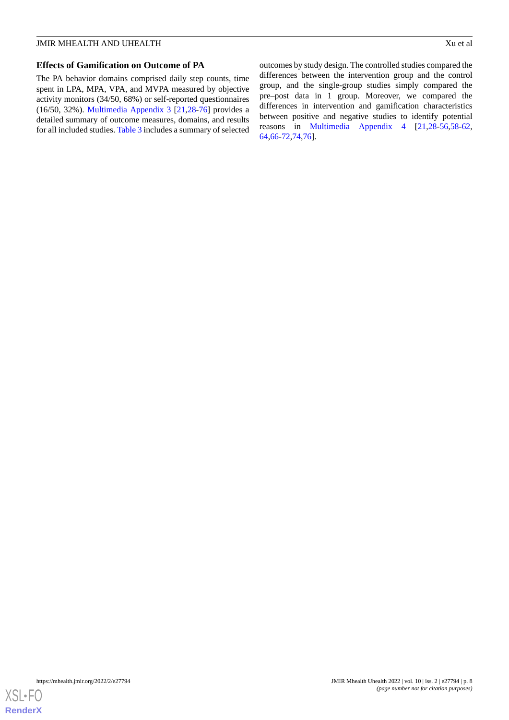## **Effects of Gamification on Outcome of PA**

The PA behavior domains comprised daily step counts, time spent in LPA, MPA, VPA, and MVPA measured by objective activity monitors (34/50, 68%) or self-reported questionnaires (16/50, 32%). [Multimedia Appendix 3](#page-12-3) [[21](#page-13-14)[,28](#page-14-6)-[76\]](#page-16-0) provides a detailed summary of outcome measures, domains, and results for all included studies. [Table 3](#page-8-0) includes a summary of selected

outcomes by study design. The controlled studies compared the differences between the intervention group and the control group, and the single-group studies simply compared the pre–post data in 1 group. Moreover, we compared the differences in intervention and gamification characteristics between positive and negative studies to identify potential reasons in [Multimedia Appendix 4](#page-12-4) [[21,](#page-13-14)[28](#page-14-6)[-56](#page-15-0),[58](#page-15-1)[-62](#page-16-1), [64,](#page-16-2)[66](#page-16-3)-[72,](#page-16-4)[74](#page-16-5)[,76](#page-16-0)].

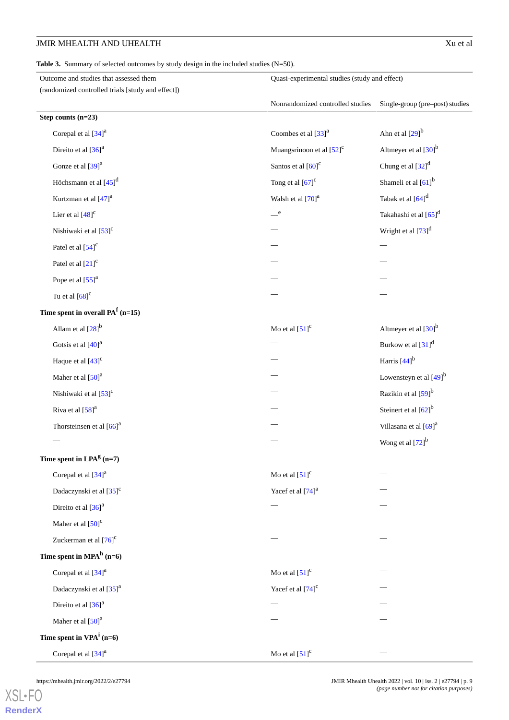<span id="page-8-0"></span>Table 3. Summary of selected outcomes by study design in the included studies (N=50).

| Outcome and studies that assessed them            | Quasi-experimental studies (study and effect) |                                      |  |
|---------------------------------------------------|-----------------------------------------------|--------------------------------------|--|
| (randomized controlled trials [study and effect]) |                                               |                                      |  |
|                                                   | Nonrandomized controlled studies              | Single-group (pre-post) studies      |  |
| Step counts $(n=23)$                              |                                               |                                      |  |
| Corepal et al [34] <sup>a</sup>                   | Coombes et al [33] <sup>a</sup>               | Ahn et al $[29]$ <sup>b</sup>        |  |
| Direito et al $[36]$ <sup>a</sup>                 | Muangsrinoon et al $[52]$ <sup>c</sup>        | Altmeyer et al $[30]$ <sup>b</sup>   |  |
| Gonze et al [39] <sup>a</sup>                     | Santos et al $[60]$ <sup>c</sup>              | Chung et al $[32]$ <sup>d</sup>      |  |
| Höchsmann et al [45] <sup>d</sup>                 | Tong et al $[67]$ <sup>c</sup>                | Shameli et al [61] <sup>b</sup>      |  |
| Kurtzman et al [47] <sup>a</sup>                  | Walsh et al [70] <sup>a</sup>                 | Tabak et al $[64]$ <sup>d</sup>      |  |
| Lier et al $[48]$ <sup>c</sup>                    | e                                             | Takahashi et al [65] <sup>d</sup>    |  |
| Nishiwaki et al [53] <sup>c</sup>                 |                                               | Wright et al $[73]$ <sup>d</sup>     |  |
| Patel et al $[54]$ <sup>c</sup>                   |                                               |                                      |  |
| Patel et al $[21]$ <sup>c</sup>                   |                                               |                                      |  |
| Pope et al $[55]^a$                               |                                               |                                      |  |
| Tu et al $[68]$ <sup>c</sup>                      |                                               |                                      |  |
| Time spent in overall $PAf$ (n=15)                |                                               |                                      |  |
| Allam et al $[28]$ <sup>b</sup>                   | Mo et al $[51]$ <sup>c</sup>                  | Altmeyer et al $[30]$ <sup>b</sup>   |  |
| Gotsis et al [40] <sup>a</sup>                    |                                               | Burkow et al $[31]$ <sup>d</sup>     |  |
| Haque et al $[43]$ <sup>c</sup>                   |                                               | Harris $[44]$ <sup>b</sup>           |  |
| Maher et al $[50]$ <sup>a</sup>                   |                                               | Lowensteyn et al $[49]$ <sup>b</sup> |  |
| Nishiwaki et al [53] <sup>c</sup>                 |                                               | Razikin et al [59] <sup>b</sup>      |  |
| Riva et al $[58]$ <sup>a</sup>                    |                                               | Steinert et al [62] <sup>b</sup>     |  |
| Thorsteinsen et al $[66]$ <sup>a</sup>            |                                               | Villasana et al [69] <sup>a</sup>    |  |
|                                                   |                                               | Wong et al $[72]$ <sup>b</sup>       |  |
| Time spent in $LPAg$ (n=7)                        |                                               |                                      |  |
| Corepal et al [34] <sup>a</sup>                   | Mo et al $[51]$ <sup>c</sup>                  |                                      |  |
| Dadaczynski et al [35] <sup>c</sup>               | Yacef et al $[74]$ <sup>a</sup>               |                                      |  |
| Direito et al [36] <sup>a</sup>                   |                                               |                                      |  |
| Maher et al $[50]$ <sup>c</sup>                   |                                               |                                      |  |
| Zuckerman et al $[76]$ <sup>c</sup>               |                                               |                                      |  |
| Time spent in $MPAh$ (n=6)                        |                                               |                                      |  |
| Corepal et al [34] <sup>a</sup>                   | Mo et al $[51]$ <sup>c</sup>                  |                                      |  |
| Dadaczynski et al [35] <sup>a</sup>               | Yacef et al $[74]$ <sup>c</sup>               |                                      |  |
| Direito et al $[36]$ <sup>a</sup>                 |                                               |                                      |  |
| Maher et al $[50]$ <sup>a</sup>                   |                                               |                                      |  |
| Time spent in $VPA^i$ (n=6)                       |                                               |                                      |  |
| Corepal et al [34] <sup>a</sup>                   | Mo et al $[51]$ <sup>c</sup>                  |                                      |  |

[XSL](http://www.w3.org/Style/XSL)•FO **[RenderX](http://www.renderx.com/)**

https://mhealth.jmir.org/2022/2/e27794 JMIR Mhealth Uhealth 2022 | vol. 10 | iss. 2 | e27794 | p. 9 *(page number not for citation purposes)*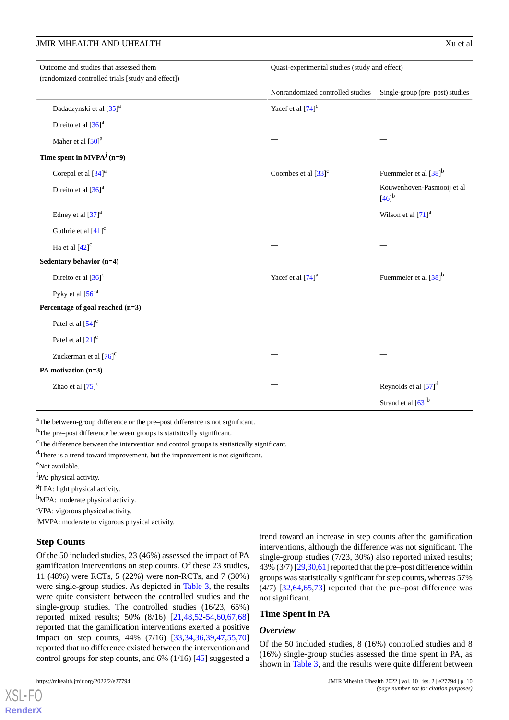| Outcome and studies that assessed them            | Quasi-experimental studies (study and effect) |                                          |  |
|---------------------------------------------------|-----------------------------------------------|------------------------------------------|--|
| (randomized controlled trials [study and effect]) |                                               |                                          |  |
|                                                   | Nonrandomized controlled studies              | Single-group (pre-post) studies          |  |
| Dadaczynski et al [35] <sup>a</sup>               | Yacef et al $[74]$ <sup>c</sup>               |                                          |  |
| Direito et al $[36]$ <sup>a</sup>                 |                                               |                                          |  |
| Maher et al [50] <sup>a</sup>                     |                                               |                                          |  |
| Time spent in $MVPA^j$ (n=9)                      |                                               |                                          |  |
| Corepal et al [34] <sup>a</sup>                   | Coombes et al $[33]$ <sup>c</sup>             | Fuemmeler et al [38] <sup>b</sup>        |  |
| Direito et al $[36]$ <sup>a</sup>                 |                                               | Kouwenhoven-Pasmooij et al<br>$[46]^{b}$ |  |
| Edney et al [37] <sup>a</sup>                     |                                               | Wilson et al [71] <sup>a</sup>           |  |
| Guthrie et al $[41]$ <sup>c</sup>                 |                                               |                                          |  |
| Ha et al $[42]$ <sup>c</sup>                      |                                               |                                          |  |
| Sedentary behavior (n=4)                          |                                               |                                          |  |
| Direito et al $[36]$ <sup>c</sup>                 | Yacef et al [74] <sup>a</sup>                 | Fuemmeler et al $[38]$ <sup>b</sup>      |  |
| Pyky et al $[56]$ <sup>a</sup>                    |                                               |                                          |  |
| Percentage of goal reached (n=3)                  |                                               |                                          |  |
| Patel et al $[54]$ <sup>c</sup>                   |                                               |                                          |  |
| Patel et al [21] <sup>c</sup>                     |                                               |                                          |  |
| Zuckerman et al [76] <sup>c</sup>                 |                                               |                                          |  |
| PA motivation (n=3)                               |                                               |                                          |  |
| Zhao et al $[75]$ <sup>c</sup>                    |                                               | Reynolds et al $[57]$ <sup>d</sup>       |  |
|                                                   |                                               | Strand et al [63] <sup>b</sup>           |  |

<sup>a</sup>The between-group difference or the pre–post difference is not significant.

<sup>b</sup>The pre–post difference between groups is statistically significant.

<sup>c</sup>The difference between the intervention and control groups is statistically significant.

<sup>d</sup>There is a trend toward improvement, but the improvement is not significant.

<sup>e</sup>Not available.

<sup>f</sup>PA: physical activity.

<sup>g</sup>LPA: light physical activity.

h<sub>MPA:</sub> moderate physical activity.

<sup>i</sup>VPA: vigorous physical activity.

<sup>j</sup>MVPA: moderate to vigorous physical activity.

## **Step Counts**

Of the 50 included studies, 23 (46%) assessed the impact of PA gamification interventions on step counts. Of these 23 studies, 11 (48%) were RCTs, 5 (22%) were non-RCTs, and 7 (30%) were single-group studies. As depicted in [Table 3](#page-8-0), the results were quite consistent between the controlled studies and the single-group studies. The controlled studies (16/23, 65%) reported mixed results; 50% (8/16) [\[21](#page-13-14),[48,](#page-15-7)[52-](#page-15-2)[54](#page-15-9)[,60](#page-15-3),[67](#page-16-6)[,68](#page-16-10)] reported that the gamification interventions exerted a positive impact on step counts, 44% (7/16) [\[33](#page-14-8),[34](#page-14-9)[,36](#page-14-11),[39](#page-14-13)[,47](#page-15-6),[55](#page-15-10)[,70](#page-16-7)] reported that no difference existed between the intervention and control groups for step counts, and 6% (1/16) [[45\]](#page-15-5) suggested a

 $XS$ l • FC **[RenderX](http://www.renderx.com/)** trend toward an increase in step counts after the gamification interventions, although the difference was not significant. The single-group studies (7/23, 30%) also reported mixed results; 43% (3/7) [[29](#page-14-7),[30,](#page-14-10)[61\]](#page-15-4) reported that the pre–post difference within groups was statistically significant for step counts, whereas 57%  $(4/7)$   $[32, 64, 65, 73]$  $[32, 64, 65, 73]$  $[32, 64, 65, 73]$  $[32, 64, 65, 73]$  $[32, 64, 65, 73]$  $[32, 64, 65, 73]$  reported that the pre–post difference was not significant.

## **Time Spent in PA**

## *Overview*

Of the 50 included studies, 8 (16%) controlled studies and 8 (16%) single-group studies assessed the time spent in PA, as shown in [Table 3](#page-8-0), and the results were quite different between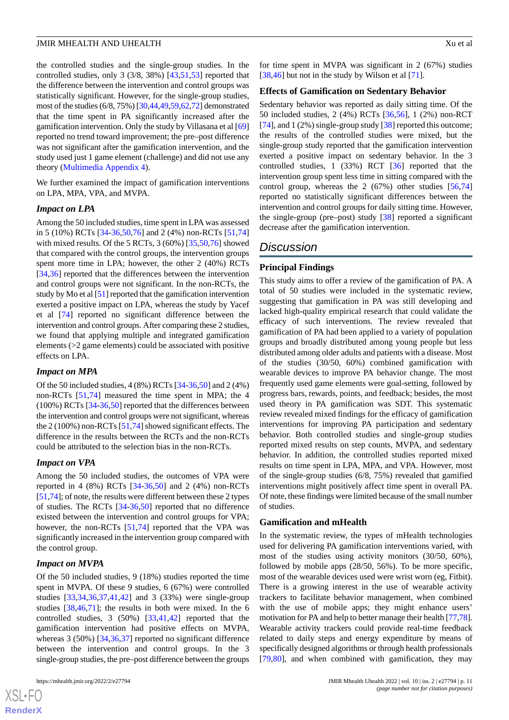the controlled studies and the single-group studies. In the controlled studies, only 3 (3/8, 38%) [[43,](#page-15-13)[51](#page-15-11),[53\]](#page-15-8) reported that the difference between the intervention and control groups was statistically significant. However, for the single-group studies, most of the studies (6/8, 75%) [[30,](#page-14-10)[44](#page-15-12)[,49](#page-15-14),[59](#page-15-16),[62,](#page-16-1)[72\]](#page-16-4) demonstrated that the time spent in PA significantly increased after the gamification intervention. Only the study by Villasana et al [\[69](#page-16-11)] reported no trend toward improvement; the pre–post difference was not significant after the gamification intervention, and the study used just 1 game element (challenge) and did not use any theory ([Multimedia Appendix 4](#page-12-4)).

We further examined the impact of gamification interventions on LPA, MPA, VPA, and MVPA.

#### *Impact on LPA*

Among the 50 included studies, time spent in LPA was assessed in 5 (10%) RCTs [\[34](#page-14-9)[-36](#page-14-11),[50](#page-15-15)[,76](#page-16-0)] and 2 (4%) non-RCTs [[51](#page-15-11)[,74](#page-16-5)] with mixed results. Of the 5 RCTs, 3 (60%) [[35](#page-14-16)[,50](#page-15-15),[76\]](#page-16-0) showed that compared with the control groups, the intervention groups spent more time in LPA; however, the other 2 (40%) RCTs [[34](#page-14-9)[,36](#page-14-11)] reported that the differences between the intervention and control groups were not significant. In the non-RCTs, the study by Mo et al [\[51\]](#page-15-11) reported that the gamification intervention exerted a positive impact on LPA, whereas the study by Yacef et al [\[74](#page-16-5)] reported no significant difference between the intervention and control groups. After comparing these 2 studies, we found that applying multiple and integrated gamification elements (>2 game elements) could be associated with positive effects on LPA.

## *Impact on MPA*

Of the 50 included studies, 4 (8%) RCTs [\[34](#page-14-9)-[36,](#page-14-11)[50](#page-15-15)] and 2 (4%) non-RCTs [[51](#page-15-11)[,74](#page-16-5)] measured the time spent in MPA; the 4 (100%) RCTs [[34-](#page-14-9)[36](#page-14-11)[,50](#page-15-15)] reported that the differences between the intervention and control groups were not significant, whereas the 2 (100%) non-RCTs [\[51](#page-15-11)[,74](#page-16-5)] showed significant effects. The difference in the results between the RCTs and the non-RCTs could be attributed to the selection bias in the non-RCTs.

#### *Impact on VPA*

Among the 50 included studies, the outcomes of VPA were reported in 4 (8%) RCTs [\[34](#page-14-9)-[36,](#page-14-11)[50](#page-15-15)] and 2 (4%) non-RCTs [[51,](#page-15-11)[74](#page-16-5)]; of note, the results were different between these 2 types of studies. The RCTs [[34-](#page-14-9)[36](#page-14-11)[,50](#page-15-15)] reported that no difference existed between the intervention and control groups for VPA; however, the non-RCTs [[51](#page-15-11)[,74](#page-16-5)] reported that the VPA was significantly increased in the intervention group compared with the control group.

## *Impact on MVPA*

Of the 50 included studies, 9 (18%) studies reported the time spent in MVPA. Of these 9 studies, 6 (67%) were controlled studies [\[33](#page-14-8),[34](#page-14-9)[,36](#page-14-11),[37](#page-14-18)[,41](#page-14-19),[42\]](#page-14-20) and 3 (33%) were single-group studies [[38,](#page-14-17)[46](#page-15-17),[71\]](#page-16-12); the results in both were mixed. In the 6 controlled studies, 3 (50%) [\[33](#page-14-8),[41,](#page-14-19)[42](#page-14-20)] reported that the gamification intervention had positive effects on MVPA, whereas 3 (50%) [[34](#page-14-9)[,36](#page-14-11),[37\]](#page-14-18) reported no significant difference between the intervention and control groups. In the 3 single-group studies, the pre–post difference between the groups

for time spent in MVPA was significant in 2 (67%) studies [[38,](#page-14-17)[46\]](#page-15-17) but not in the study by Wilson et al [\[71](#page-16-12)].

#### **Effects of Gamification on Sedentary Behavior**

Sedentary behavior was reported as daily sitting time. Of the 50 included studies, 2 (4%) RCTs [\[36](#page-14-11),[56\]](#page-15-0), 1 (2%) non-RCT [[74\]](#page-16-5), and 1 (2%) single-group study [[38\]](#page-14-17) reported this outcome; the results of the controlled studies were mixed, but the single-group study reported that the gamification intervention exerted a positive impact on sedentary behavior. In the 3 controlled studies, 1 (33%) RCT [[36\]](#page-14-11) reported that the intervention group spent less time in sitting compared with the control group, whereas the 2  $(67%)$  other studies  $[56,74]$  $[56,74]$  $[56,74]$  $[56,74]$ reported no statistically significant differences between the intervention and control groups for daily sitting time. However, the single-group (pre–post) study [\[38](#page-14-17)] reported a significant decrease after the gamification intervention.

# *Discussion*

## **Principal Findings**

This study aims to offer a review of the gamification of PA. A total of 50 studies were included in the systematic review, suggesting that gamification in PA was still developing and lacked high-quality empirical research that could validate the efficacy of such interventions. The review revealed that gamification of PA had been applied to a variety of population groups and broadly distributed among young people but less distributed among older adults and patients with a disease. Most of the studies (30/50, 60%) combined gamification with wearable devices to improve PA behavior change. The most frequently used game elements were goal-setting, followed by progress bars, rewards, points, and feedback; besides, the most used theory in PA gamification was SDT. This systematic review revealed mixed findings for the efficacy of gamification interventions for improving PA participation and sedentary behavior. Both controlled studies and single-group studies reported mixed results on step counts, MVPA, and sedentary behavior. In addition, the controlled studies reported mixed results on time spent in LPA, MPA, and VPA. However, most of the single-group studies (6/8, 75%) revealed that gamified interventions might positively affect time spent in overall PA. Of note, these findings were limited because of the small number of studies.

#### **Gamification and mHealth**

In the systematic review, the types of mHealth technologies used for delivering PA gamification interventions varied, with most of the studies using activity monitors (30/50, 60%), followed by mobile apps (28/50, 56%). To be more specific, most of the wearable devices used were wrist worn (eg, Fitbit). There is a growing interest in the use of wearable activity trackers to facilitate behavior management, when combined with the use of mobile apps; they might enhance users' motivation for PA and help to better manage their health [[77,](#page-16-15)[78](#page-16-16)]. Wearable activity trackers could provide real-time feedback related to daily steps and energy expenditure by means of specifically designed algorithms or through health professionals [[79,](#page-16-17)[80\]](#page-16-18), and when combined with gamification, they may

```
XS-FO
RenderX
```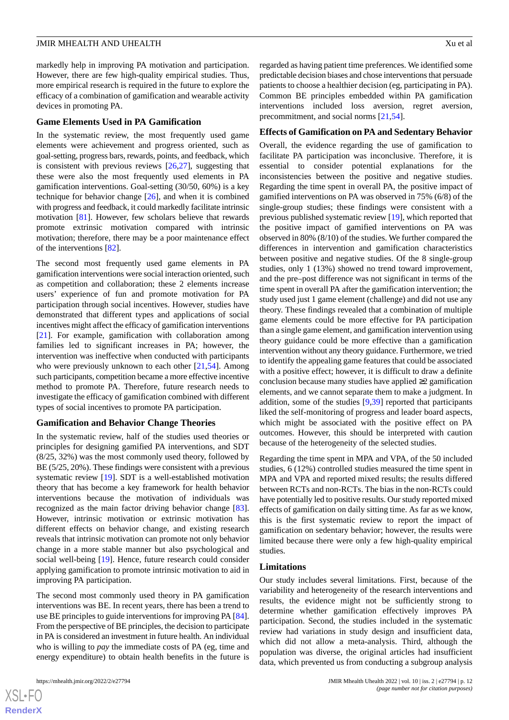markedly help in improving PA motivation and participation. However, there are few high-quality empirical studies. Thus, more empirical research is required in the future to explore the efficacy of a combination of gamification and wearable activity devices in promoting PA.

#### **Game Elements Used in PA Gamification**

In the systematic review, the most frequently used game elements were achievement and progress oriented, such as goal-setting, progress bars, rewards, points, and feedback, which is consistent with previous reviews  $[26,27]$  $[26,27]$  $[26,27]$  $[26,27]$ , suggesting that these were also the most frequently used elements in PA gamification interventions. Goal-setting (30/50, 60%) is a key technique for behavior change [\[26](#page-14-4)], and when it is combined with progress and feedback, it could markedly facilitate intrinsic motivation [\[81](#page-16-19)]. However, few scholars believe that rewards promote extrinsic motivation compared with intrinsic motivation; therefore, there may be a poor maintenance effect of the interventions [[82\]](#page-16-20).

The second most frequently used game elements in PA gamification interventions were social interaction oriented, such as competition and collaboration; these 2 elements increase users' experience of fun and promote motivation for PA participation through social incentives. However, studies have demonstrated that different types and applications of social incentives might affect the efficacy of gamification interventions [[21\]](#page-13-14). For example, gamification with collaboration among families led to significant increases in PA; however, the intervention was ineffective when conducted with participants who were previously unknown to each other [\[21](#page-13-14),[54\]](#page-15-9). Among such participants, competition became a more effective incentive method to promote PA. Therefore, future research needs to investigate the efficacy of gamification combined with different types of social incentives to promote PA participation.

#### **Gamification and Behavior Change Theories**

In the systematic review, half of the studies used theories or principles for designing gamified PA interventions, and SDT (8/25, 32%) was the most commonly used theory, followed by BE (5/25, 20%). These findings were consistent with a previous systematic review [\[19](#page-13-12)]. SDT is a well-established motivation theory that has become a key framework for health behavior interventions because the motivation of individuals was recognized as the main factor driving behavior change [[83\]](#page-17-0). However, intrinsic motivation or extrinsic motivation has different effects on behavior change, and existing research reveals that intrinsic motivation can promote not only behavior change in a more stable manner but also psychological and social well-being [\[19](#page-13-12)]. Hence, future research could consider applying gamification to promote intrinsic motivation to aid in improving PA participation.

The second most commonly used theory in PA gamification interventions was BE. In recent years, there has been a trend to use BE principles to guide interventions for improving PA [[84\]](#page-17-1). From the perspective of BE principles, the decision to participate in PA is considered an investment in future health. An individual who is willing to *pay* the immediate costs of PA (eg, time and energy expenditure) to obtain health benefits in the future is regarded as having patient time preferences. We identified some predictable decision biases and chose interventions that persuade patients to choose a healthier decision (eg, participating in PA). Common BE principles embedded within PA gamification interventions included loss aversion, regret aversion, precommitment, and social norms [[21,](#page-13-14)[54](#page-15-9)].

#### **Effects of Gamification on PA and Sedentary Behavior**

Overall, the evidence regarding the use of gamification to facilitate PA participation was inconclusive. Therefore, it is essential to consider potential explanations for the inconsistencies between the positive and negative studies. Regarding the time spent in overall PA, the positive impact of gamified interventions on PA was observed in 75% (6/8) of the single-group studies; these findings were consistent with a previous published systematic review [[19\]](#page-13-12), which reported that the positive impact of gamified interventions on PA was observed in 80% (8/10) of the studies. We further compared the differences in intervention and gamification characteristics between positive and negative studies. Of the 8 single-group studies, only 1 (13%) showed no trend toward improvement, and the pre–post difference was not significant in terms of the time spent in overall PA after the gamification intervention; the study used just 1 game element (challenge) and did not use any theory. These findings revealed that a combination of multiple game elements could be more effective for PA participation than a single game element, and gamification intervention using theory guidance could be more effective than a gamification intervention without any theory guidance. Furthermore, we tried to identify the appealing game features that could be associated with a positive effect; however, it is difficult to draw a definite conclusion because many studies have applied  $\geq 2$  gamification elements, and we cannot separate them to make a judgment. In addition, some of the studies [[9](#page-13-4),[39\]](#page-14-13) reported that participants liked the self-monitoring of progress and leader board aspects, which might be associated with the positive effect on PA outcomes. However, this should be interpreted with caution because of the heterogeneity of the selected studies.

Regarding the time spent in MPA and VPA, of the 50 included studies, 6 (12%) controlled studies measured the time spent in MPA and VPA and reported mixed results; the results differed between RCTs and non-RCTs. The bias in the non-RCTs could have potentially led to positive results. Our study reported mixed effects of gamification on daily sitting time. As far as we know, this is the first systematic review to report the impact of gamification on sedentary behavior; however, the results were limited because there were only a few high-quality empirical studies.

### **Limitations**

Our study includes several limitations. First, because of the variability and heterogeneity of the research interventions and results, the evidence might not be sufficiently strong to determine whether gamification effectively improves PA participation. Second, the studies included in the systematic review had variations in study design and insufficient data, which did not allow a meta-analysis. Third, although the population was diverse, the original articles had insufficient data, which prevented us from conducting a subgroup analysis

```
XS-FO
RenderX
```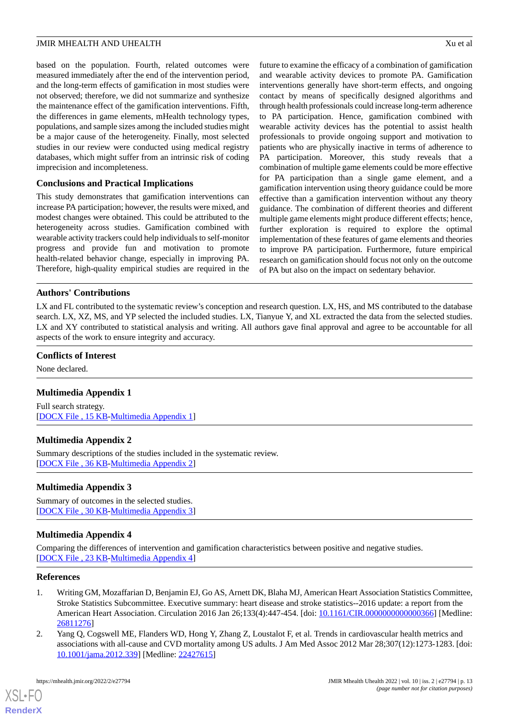based on the population. Fourth, related outcomes were measured immediately after the end of the intervention period, and the long-term effects of gamification in most studies were not observed; therefore, we did not summarize and synthesize the maintenance effect of the gamification interventions. Fifth, the differences in game elements, mHealth technology types, populations, and sample sizes among the included studies might be a major cause of the heterogeneity. Finally, most selected studies in our review were conducted using medical registry databases, which might suffer from an intrinsic risk of coding imprecision and incompleteness.

## **Conclusions and Practical Implications**

This study demonstrates that gamification interventions can increase PA participation; however, the results were mixed, and modest changes were obtained. This could be attributed to the heterogeneity across studies. Gamification combined with wearable activity trackers could help individuals to self-monitor progress and provide fun and motivation to promote health-related behavior change, especially in improving PA. Therefore, high-quality empirical studies are required in the

future to examine the efficacy of a combination of gamification and wearable activity devices to promote PA. Gamification interventions generally have short-term effects, and ongoing contact by means of specifically designed algorithms and through health professionals could increase long-term adherence to PA participation. Hence, gamification combined with wearable activity devices has the potential to assist health professionals to provide ongoing support and motivation to patients who are physically inactive in terms of adherence to PA participation. Moreover, this study reveals that a combination of multiple game elements could be more effective for PA participation than a single game element, and a gamification intervention using theory guidance could be more effective than a gamification intervention without any theory guidance. The combination of different theories and different multiple game elements might produce different effects; hence, further exploration is required to explore the optimal implementation of these features of game elements and theories to improve PA participation. Furthermore, future empirical research on gamification should focus not only on the outcome of PA but also on the impact on sedentary behavior.

## **Authors' Contributions**

LX and FL contributed to the systematic review's conception and research question. LX, HS, and MS contributed to the database search. LX, XZ, MS, and YP selected the included studies. LX, Tianyue Y, and XL extracted the data from the selected studies. LX and XY contributed to statistical analysis and writing. All authors gave final approval and agree to be accountable for all aspects of the work to ensure integrity and accuracy.

## <span id="page-12-1"></span>**Conflicts of Interest**

None declared.

## <span id="page-12-2"></span>**Multimedia Appendix 1**

Full search strategy. [[DOCX File , 15 KB](https://jmir.org/api/download?alt_name=mhealth_v10i2e27794_app1.docx&filename=b25d3d1656bdaef51b8ec187f68dfa82.docx)-[Multimedia Appendix 1\]](https://jmir.org/api/download?alt_name=mhealth_v10i2e27794_app1.docx&filename=b25d3d1656bdaef51b8ec187f68dfa82.docx)

## <span id="page-12-3"></span>**Multimedia Appendix 2**

Summary descriptions of the studies included in the systematic review. [[DOCX File , 36 KB](https://jmir.org/api/download?alt_name=mhealth_v10i2e27794_app2.docx&filename=b82131bc33b560fb565e1c8036445260.docx)-[Multimedia Appendix 2\]](https://jmir.org/api/download?alt_name=mhealth_v10i2e27794_app2.docx&filename=b82131bc33b560fb565e1c8036445260.docx)

## <span id="page-12-4"></span>**Multimedia Appendix 3**

Summary of outcomes in the selected studies. [[DOCX File , 30 KB](https://jmir.org/api/download?alt_name=mhealth_v10i2e27794_app3.docx&filename=1ac719c4979ccf2ddc4580ec581fa639.docx)-[Multimedia Appendix 3\]](https://jmir.org/api/download?alt_name=mhealth_v10i2e27794_app3.docx&filename=1ac719c4979ccf2ddc4580ec581fa639.docx)

## <span id="page-12-0"></span>**Multimedia Appendix 4**

Comparing the differences of intervention and gamification characteristics between positive and negative studies. [[DOCX File , 23 KB](https://jmir.org/api/download?alt_name=mhealth_v10i2e27794_app4.docx&filename=7dba078d8f15eb3dfb0fa9dc3402ee6f.docx)-[Multimedia Appendix 4\]](https://jmir.org/api/download?alt_name=mhealth_v10i2e27794_app4.docx&filename=7dba078d8f15eb3dfb0fa9dc3402ee6f.docx)

#### **References**

- 1. Writing GM, Mozaffarian D, Benjamin EJ, Go AS, Arnett DK, Blaha MJ, American Heart Association Statistics Committee, Stroke Statistics Subcommittee. Executive summary: heart disease and stroke statistics--2016 update: a report from the American Heart Association. Circulation 2016 Jan 26;133(4):447-454. [doi: [10.1161/CIR.0000000000000366\]](http://dx.doi.org/10.1161/CIR.0000000000000366) [Medline: [26811276](http://www.ncbi.nlm.nih.gov/entrez/query.fcgi?cmd=Retrieve&db=PubMed&list_uids=26811276&dopt=Abstract)]
- 2. Yang Q, Cogswell ME, Flanders WD, Hong Y, Zhang Z, Loustalot F, et al. Trends in cardiovascular health metrics and associations with all-cause and CVD mortality among US adults. J Am Med Assoc 2012 Mar 28;307(12):1273-1283. [doi: [10.1001/jama.2012.339](http://dx.doi.org/10.1001/jama.2012.339)] [Medline: [22427615](http://www.ncbi.nlm.nih.gov/entrez/query.fcgi?cmd=Retrieve&db=PubMed&list_uids=22427615&dopt=Abstract)]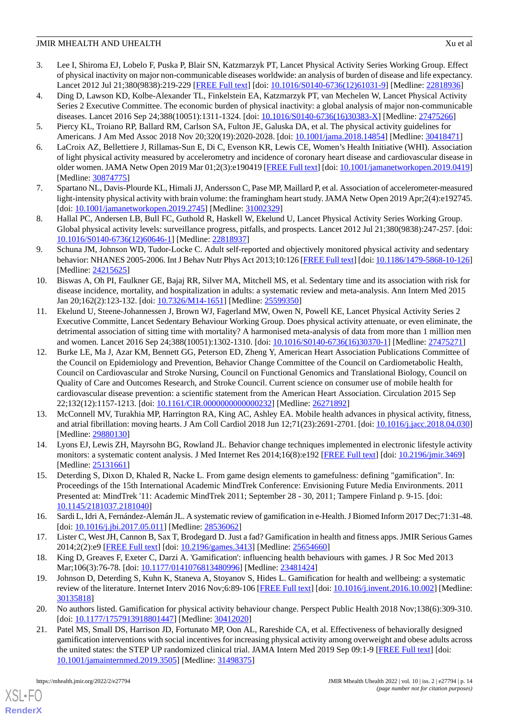- 3. Lee I, Shiroma EJ, Lobelo F, Puska P, Blair SN, Katzmarzyk PT, Lancet Physical Activity Series Working Group. Effect of physical inactivity on major non-communicable diseases worldwide: an analysis of burden of disease and life expectancy. Lancet 2012 Jul 21;380(9838):219-229 [\[FREE Full text\]](http://europepmc.org/abstract/MED/22818936) [doi: [10.1016/S0140-6736\(12\)61031-9](http://dx.doi.org/10.1016/S0140-6736(12)61031-9)] [Medline: [22818936\]](http://www.ncbi.nlm.nih.gov/entrez/query.fcgi?cmd=Retrieve&db=PubMed&list_uids=22818936&dopt=Abstract)
- <span id="page-13-0"></span>4. Ding D, Lawson KD, Kolbe-Alexander TL, Finkelstein EA, Katzmarzyk PT, van Mechelen W, Lancet Physical Activity Series 2 Executive Committee. The economic burden of physical inactivity: a global analysis of major non-communicable diseases. Lancet 2016 Sep 24;388(10051):1311-1324. [doi: [10.1016/S0140-6736\(16\)30383-X](http://dx.doi.org/10.1016/S0140-6736(16)30383-X)] [Medline: [27475266](http://www.ncbi.nlm.nih.gov/entrez/query.fcgi?cmd=Retrieve&db=PubMed&list_uids=27475266&dopt=Abstract)]
- <span id="page-13-1"></span>5. Piercy KL, Troiano RP, Ballard RM, Carlson SA, Fulton JE, Galuska DA, et al. The physical activity guidelines for Americans. J Am Med Assoc 2018 Nov 20;320(19):2020-2028. [doi: [10.1001/jama.2018.14854](http://dx.doi.org/10.1001/jama.2018.14854)] [Medline: [30418471](http://www.ncbi.nlm.nih.gov/entrez/query.fcgi?cmd=Retrieve&db=PubMed&list_uids=30418471&dopt=Abstract)]
- 6. LaCroix AZ, Bellettiere J, Rillamas-Sun E, Di C, Evenson KR, Lewis CE, Women's Health Initiative (WHI). Association of light physical activity measured by accelerometry and incidence of coronary heart disease and cardiovascular disease in older women. JAMA Netw Open 2019 Mar 01;2(3):e190419 [[FREE Full text](https://jamanetwork.com/journals/jamanetworkopen/fullarticle/10.1001/jamanetworkopen.2019.0419)] [doi: [10.1001/jamanetworkopen.2019.0419](http://dx.doi.org/10.1001/jamanetworkopen.2019.0419)] [Medline: [30874775](http://www.ncbi.nlm.nih.gov/entrez/query.fcgi?cmd=Retrieve&db=PubMed&list_uids=30874775&dopt=Abstract)]
- <span id="page-13-3"></span><span id="page-13-2"></span>7. Spartano NL, Davis-Plourde KL, Himali JJ, Andersson C, Pase MP, Maillard P, et al. Association of accelerometer-measured light-intensity physical activity with brain volume: the framingham heart study. JAMA Netw Open 2019 Apr;2(4):e192745. [doi: [10.1001/jamanetworkopen.2019.2745\]](http://dx.doi.org/10.1001/jamanetworkopen.2019.2745) [Medline: [31002329](http://www.ncbi.nlm.nih.gov/entrez/query.fcgi?cmd=Retrieve&db=PubMed&list_uids=31002329&dopt=Abstract)]
- <span id="page-13-4"></span>8. Hallal PC, Andersen LB, Bull FC, Guthold R, Haskell W, Ekelund U, Lancet Physical Activity Series Working Group. Global physical activity levels: surveillance progress, pitfalls, and prospects. Lancet 2012 Jul 21;380(9838):247-257. [doi: [10.1016/S0140-6736\(12\)60646-1\]](http://dx.doi.org/10.1016/S0140-6736(12)60646-1) [Medline: [22818937](http://www.ncbi.nlm.nih.gov/entrez/query.fcgi?cmd=Retrieve&db=PubMed&list_uids=22818937&dopt=Abstract)]
- <span id="page-13-5"></span>9. Schuna JM, Johnson WD, Tudor-Locke C. Adult self-reported and objectively monitored physical activity and sedentary behavior: NHANES 2005-2006. Int J Behav Nutr Phys Act 2013;10:126 [[FREE Full text\]](http://www.ijbnpa.org/content/10//126) [doi: [10.1186/1479-5868-10-126](http://dx.doi.org/10.1186/1479-5868-10-126)] [Medline: [24215625](http://www.ncbi.nlm.nih.gov/entrez/query.fcgi?cmd=Retrieve&db=PubMed&list_uids=24215625&dopt=Abstract)]
- <span id="page-13-6"></span>10. Biswas A, Oh PI, Faulkner GE, Bajaj RR, Silver MA, Mitchell MS, et al. Sedentary time and its association with risk for disease incidence, mortality, and hospitalization in adults: a systematic review and meta-analysis. Ann Intern Med 2015 Jan 20;162(2):123-132. [doi: [10.7326/M14-1651\]](http://dx.doi.org/10.7326/M14-1651) [Medline: [25599350\]](http://www.ncbi.nlm.nih.gov/entrez/query.fcgi?cmd=Retrieve&db=PubMed&list_uids=25599350&dopt=Abstract)
- <span id="page-13-7"></span>11. Ekelund U, Steene-Johannessen J, Brown WJ, Fagerland MW, Owen N, Powell KE, Lancet Physical Activity Series 2 Executive Committe, Lancet Sedentary Behaviour Working Group. Does physical activity attenuate, or even eliminate, the detrimental association of sitting time with mortality? A harmonised meta-analysis of data from more than 1 million men and women. Lancet 2016 Sep 24;388(10051):1302-1310. [doi: [10.1016/S0140-6736\(16\)30370-1\]](http://dx.doi.org/10.1016/S0140-6736(16)30370-1) [Medline: [27475271](http://www.ncbi.nlm.nih.gov/entrez/query.fcgi?cmd=Retrieve&db=PubMed&list_uids=27475271&dopt=Abstract)]
- <span id="page-13-8"></span>12. Burke LE, Ma J, Azar KM, Bennett GG, Peterson ED, Zheng Y, American Heart Association Publications Committee of the Council on Epidemiology and Prevention, Behavior Change Committee of the Council on Cardiometabolic Health, Council on Cardiovascular and Stroke Nursing, Council on Functional Genomics and Translational Biology, Council on Quality of Care and Outcomes Research, and Stroke Council. Current science on consumer use of mobile health for cardiovascular disease prevention: a scientific statement from the American Heart Association. Circulation 2015 Sep 22;132(12):1157-1213. [doi: [10.1161/CIR.0000000000000232\]](http://dx.doi.org/10.1161/CIR.0000000000000232) [Medline: [26271892\]](http://www.ncbi.nlm.nih.gov/entrez/query.fcgi?cmd=Retrieve&db=PubMed&list_uids=26271892&dopt=Abstract)
- <span id="page-13-10"></span><span id="page-13-9"></span>13. McConnell MV, Turakhia MP, Harrington RA, King AC, Ashley EA. Mobile health advances in physical activity, fitness, and atrial fibrillation: moving hearts. J Am Coll Cardiol 2018 Jun 12;71(23):2691-2701. [doi: [10.1016/j.jacc.2018.04.030](http://dx.doi.org/10.1016/j.jacc.2018.04.030)] [Medline: [29880130](http://www.ncbi.nlm.nih.gov/entrez/query.fcgi?cmd=Retrieve&db=PubMed&list_uids=29880130&dopt=Abstract)]
- 14. Lyons EJ, Lewis ZH, Mayrsohn BG, Rowland JL. Behavior change techniques implemented in electronic lifestyle activity monitors: a systematic content analysis. J Med Internet Res 2014;16(8):e192 [[FREE Full text](http://www.jmir.org/2014/8/e192/)] [doi: [10.2196/jmir.3469](http://dx.doi.org/10.2196/jmir.3469)] [Medline: [25131661](http://www.ncbi.nlm.nih.gov/entrez/query.fcgi?cmd=Retrieve&db=PubMed&list_uids=25131661&dopt=Abstract)]
- <span id="page-13-15"></span><span id="page-13-11"></span>15. Deterding S, Dixon D, Khaled R, Nacke L. From game design elements to gamefulness: defining "gamification". In: Proceedings of the 15th International Academic MindTrek Conference: Envisioning Future Media Environments. 2011 Presented at: MindTrek '11: Academic MindTrek 2011; September 28 - 30, 2011; Tampere Finland p. 9-15. [doi: [10.1145/2181037.2181040](http://dx.doi.org/10.1145/2181037.2181040)]
- <span id="page-13-12"></span>16. Sardi L, Idri A, Fernández-Alemán JL. A systematic review of gamification in e-Health. J Biomed Inform 2017 Dec;71:31-48. [doi: [10.1016/j.jbi.2017.05.011\]](http://dx.doi.org/10.1016/j.jbi.2017.05.011) [Medline: [28536062](http://www.ncbi.nlm.nih.gov/entrez/query.fcgi?cmd=Retrieve&db=PubMed&list_uids=28536062&dopt=Abstract)]
- 17. Lister C, West JH, Cannon B, Sax T, Brodegard D. Just a fad? Gamification in health and fitness apps. JMIR Serious Games 2014;2(2):e9 [\[FREE Full text](http://games.jmir.org/2014/2/e9/)] [doi: [10.2196/games.3413\]](http://dx.doi.org/10.2196/games.3413) [Medline: [25654660\]](http://www.ncbi.nlm.nih.gov/entrez/query.fcgi?cmd=Retrieve&db=PubMed&list_uids=25654660&dopt=Abstract)
- <span id="page-13-14"></span><span id="page-13-13"></span>18. King D, Greaves F, Exeter C, Darzi A. 'Gamification': influencing health behaviours with games. J R Soc Med 2013 Mar;106(3):76-78. [doi: [10.1177/0141076813480996](http://dx.doi.org/10.1177/0141076813480996)] [Medline: [23481424](http://www.ncbi.nlm.nih.gov/entrez/query.fcgi?cmd=Retrieve&db=PubMed&list_uids=23481424&dopt=Abstract)]
- 19. Johnson D, Deterding S, Kuhn K, Staneva A, Stoyanov S, Hides L. Gamification for health and wellbeing: a systematic review of the literature. Internet Interv 2016 Nov;6:89-106 [\[FREE Full text\]](https://linkinghub.elsevier.com/retrieve/pii/S2214-7829(16)30038-0) [doi: [10.1016/j.invent.2016.10.002\]](http://dx.doi.org/10.1016/j.invent.2016.10.002) [Medline: [30135818](http://www.ncbi.nlm.nih.gov/entrez/query.fcgi?cmd=Retrieve&db=PubMed&list_uids=30135818&dopt=Abstract)]
- 20. No authors listed. Gamification for physical activity behaviour change. Perspect Public Health 2018 Nov;138(6):309-310. [doi: [10.1177/1757913918801447](http://dx.doi.org/10.1177/1757913918801447)] [Medline: [30412020\]](http://www.ncbi.nlm.nih.gov/entrez/query.fcgi?cmd=Retrieve&db=PubMed&list_uids=30412020&dopt=Abstract)
- 21. Patel MS, Small DS, Harrison JD, Fortunato MP, Oon AL, Rareshide CA, et al. Effectiveness of behaviorally designed gamification interventions with social incentives for increasing physical activity among overweight and obese adults across the united states: the STEP UP randomized clinical trial. JAMA Intern Med 2019 Sep 09:1-9 [\[FREE Full text\]](http://europepmc.org/abstract/MED/31498375) [doi: [10.1001/jamainternmed.2019.3505\]](http://dx.doi.org/10.1001/jamainternmed.2019.3505) [Medline: [31498375\]](http://www.ncbi.nlm.nih.gov/entrez/query.fcgi?cmd=Retrieve&db=PubMed&list_uids=31498375&dopt=Abstract)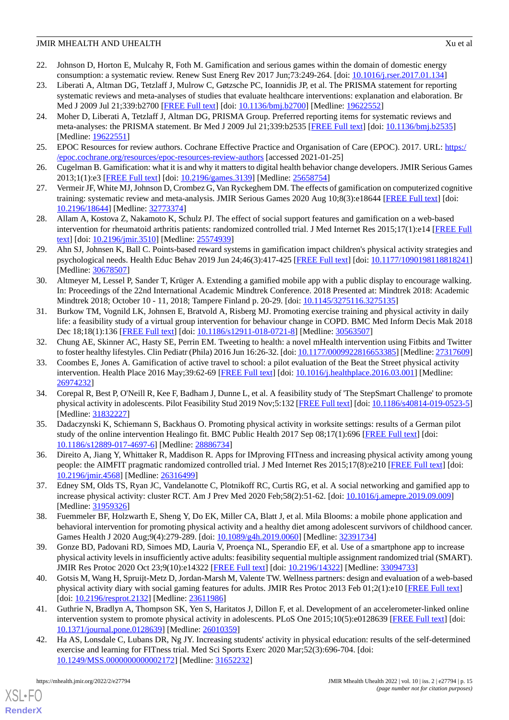- <span id="page-14-0"></span>22. Johnson D, Horton E, Mulcahy R, Foth M. Gamification and serious games within the domain of domestic energy consumption: a systematic review. Renew Sust Energ Rev 2017 Jun;73:249-264. [doi: [10.1016/j.rser.2017.01.134\]](http://dx.doi.org/10.1016/j.rser.2017.01.134)
- <span id="page-14-1"></span>23. Liberati A, Altman DG, Tetzlaff J, Mulrow C, Gøtzsche PC, Ioannidis JP, et al. The PRISMA statement for reporting systematic reviews and meta-analyses of studies that evaluate healthcare interventions: explanation and elaboration. Br Med J 2009 Jul 21;339:b2700 [[FREE Full text](http://europepmc.org/abstract/MED/19622552)] [doi: [10.1136/bmj.b2700\]](http://dx.doi.org/10.1136/bmj.b2700) [Medline: [19622552\]](http://www.ncbi.nlm.nih.gov/entrez/query.fcgi?cmd=Retrieve&db=PubMed&list_uids=19622552&dopt=Abstract)
- <span id="page-14-2"></span>24. Moher D, Liberati A, Tetzlaff J, Altman DG, PRISMA Group. Preferred reporting items for systematic reviews and meta-analyses: the PRISMA statement. Br Med J 2009 Jul 21;339:b2535 [\[FREE Full text](http://www.bmj.com/lookup/pmidlookup?view=long&pmid=19622551)] [doi: [10.1136/bmj.b2535\]](http://dx.doi.org/10.1136/bmj.b2535) [Medline: [19622551](http://www.ncbi.nlm.nih.gov/entrez/query.fcgi?cmd=Retrieve&db=PubMed&list_uids=19622551&dopt=Abstract)]
- <span id="page-14-4"></span><span id="page-14-3"></span>25. EPOC Resources for review authors. Cochrane Effective Practice and Organisation of Care (EPOC). 2017. URL: [https:/](https://epoc.cochrane.org/resources/epoc-resources-review-authors) [/epoc.cochrane.org/resources/epoc-resources-review-authors](https://epoc.cochrane.org/resources/epoc-resources-review-authors) [accessed 2021-01-25]
- <span id="page-14-5"></span>26. Cugelman B. Gamification: what it is and why it matters to digital health behavior change developers. JMIR Serious Games 2013;1(1):e3 [\[FREE Full text](http://games.jmir.org/2013/1/e3/)] [doi: [10.2196/games.3139\]](http://dx.doi.org/10.2196/games.3139) [Medline: [25658754\]](http://www.ncbi.nlm.nih.gov/entrez/query.fcgi?cmd=Retrieve&db=PubMed&list_uids=25658754&dopt=Abstract)
- <span id="page-14-6"></span>27. Vermeir JF, White MJ, Johnson D, Crombez G, Van Ryckeghem DM. The effects of gamification on computerized cognitive training: systematic review and meta-analysis. JMIR Serious Games 2020 Aug 10;8(3):e18644 [[FREE Full text\]](https://games.jmir.org/2020/3/e18644/) [doi: [10.2196/18644\]](http://dx.doi.org/10.2196/18644) [Medline: [32773374\]](http://www.ncbi.nlm.nih.gov/entrez/query.fcgi?cmd=Retrieve&db=PubMed&list_uids=32773374&dopt=Abstract)
- <span id="page-14-7"></span>28. Allam A, Kostova Z, Nakamoto K, Schulz PJ. The effect of social support features and gamification on a web-based intervention for rheumatoid arthritis patients: randomized controlled trial. J Med Internet Res 2015;17(1):e14 [\[FREE Full](http://www.jmir.org/2015/1/e14/) [text](http://www.jmir.org/2015/1/e14/)] [doi: [10.2196/jmir.3510](http://dx.doi.org/10.2196/jmir.3510)] [Medline: [25574939](http://www.ncbi.nlm.nih.gov/entrez/query.fcgi?cmd=Retrieve&db=PubMed&list_uids=25574939&dopt=Abstract)]
- <span id="page-14-10"></span>29. Ahn SJ, Johnsen K, Ball C. Points-based reward systems in gamification impact children's physical activity strategies and psychological needs. Health Educ Behav 2019 Jun 24;46(3):417-425 [[FREE Full text](http://europepmc.org/abstract/MED/30678507)] [doi: [10.1177/1090198118818241](http://dx.doi.org/10.1177/1090198118818241)] [Medline: [30678507](http://www.ncbi.nlm.nih.gov/entrez/query.fcgi?cmd=Retrieve&db=PubMed&list_uids=30678507&dopt=Abstract)]
- <span id="page-14-14"></span>30. Altmeyer M, Lessel P, Sander T, Krüger A. Extending a gamified mobile app with a public display to encourage walking. In: Proceedings of the 22nd International Academic Mindtrek Conference. 2018 Presented at: Mindtrek 2018: Academic Mindtrek 2018; October 10 - 11, 2018; Tampere Finland p. 20-29. [doi: [10.1145/3275116.3275135\]](http://dx.doi.org/10.1145/3275116.3275135)
- <span id="page-14-12"></span><span id="page-14-8"></span>31. Burkow TM, Vognild LK, Johnsen E, Bratvold A, Risberg MJ. Promoting exercise training and physical activity in daily life: a feasibility study of a virtual group intervention for behaviour change in COPD. BMC Med Inform Decis Mak 2018 Dec 18;18(1):136 [\[FREE Full text\]](https://bmcmedinformdecismak.biomedcentral.com/articles/10.1186/s12911-018-0721-8) [doi: [10.1186/s12911-018-0721-8\]](http://dx.doi.org/10.1186/s12911-018-0721-8) [Medline: [30563507\]](http://www.ncbi.nlm.nih.gov/entrez/query.fcgi?cmd=Retrieve&db=PubMed&list_uids=30563507&dopt=Abstract)
- 32. Chung AE, Skinner AC, Hasty SE, Perrin EM. Tweeting to health: a novel mHealth intervention using Fitbits and Twitter to foster healthy lifestyles. Clin Pediatr (Phila) 2016 Jun 16:26-32. [doi: [10.1177/0009922816653385](http://dx.doi.org/10.1177/0009922816653385)] [Medline: [27317609\]](http://www.ncbi.nlm.nih.gov/entrez/query.fcgi?cmd=Retrieve&db=PubMed&list_uids=27317609&dopt=Abstract)
- <span id="page-14-9"></span>33. Coombes E, Jones A. Gamification of active travel to school: a pilot evaluation of the Beat the Street physical activity intervention. Health Place 2016 May;39:62-69 [[FREE Full text\]](https://linkinghub.elsevier.com/retrieve/pii/S1353-8292(16)30010-7) [doi: [10.1016/j.healthplace.2016.03.001\]](http://dx.doi.org/10.1016/j.healthplace.2016.03.001) [Medline: [26974232](http://www.ncbi.nlm.nih.gov/entrez/query.fcgi?cmd=Retrieve&db=PubMed&list_uids=26974232&dopt=Abstract)]
- <span id="page-14-16"></span>34. Corepal R, Best P, O'Neill R, Kee F, Badham J, Dunne L, et al. A feasibility study of 'The StepSmart Challenge' to promote physical activity in adolescents. Pilot Feasibility Stud 2019 Nov;5:132 [[FREE Full text](https://pilotfeasibilitystudies.biomedcentral.com/articles/10.1186/s40814-019-0523-5)] [doi: [10.1186/s40814-019-0523-5](http://dx.doi.org/10.1186/s40814-019-0523-5)] [Medline: [31832227](http://www.ncbi.nlm.nih.gov/entrez/query.fcgi?cmd=Retrieve&db=PubMed&list_uids=31832227&dopt=Abstract)]
- <span id="page-14-18"></span><span id="page-14-11"></span>35. Dadaczynski K, Schiemann S, Backhaus O. Promoting physical activity in worksite settings: results of a German pilot study of the online intervention Healingo fit. BMC Public Health 2017 Sep 08;17(1):696 [\[FREE Full text\]](https://bmcpublichealth.biomedcentral.com/articles/10.1186/s12889-017-4697-6) [doi: [10.1186/s12889-017-4697-6\]](http://dx.doi.org/10.1186/s12889-017-4697-6) [Medline: [28886734](http://www.ncbi.nlm.nih.gov/entrez/query.fcgi?cmd=Retrieve&db=PubMed&list_uids=28886734&dopt=Abstract)]
- <span id="page-14-17"></span>36. Direito A, Jiang Y, Whittaker R, Maddison R. Apps for IMproving FITness and increasing physical activity among young people: the AIMFIT pragmatic randomized controlled trial. J Med Internet Res 2015;17(8):e210 [\[FREE Full text\]](http://www.jmir.org/2015/8/e210/) [doi: [10.2196/jmir.4568](http://dx.doi.org/10.2196/jmir.4568)] [Medline: [26316499](http://www.ncbi.nlm.nih.gov/entrez/query.fcgi?cmd=Retrieve&db=PubMed&list_uids=26316499&dopt=Abstract)]
- <span id="page-14-13"></span>37. Edney SM, Olds TS, Ryan JC, Vandelanotte C, Plotnikoff RC, Curtis RG, et al. A social networking and gamified app to increase physical activity: cluster RCT. Am J Prev Med 2020 Feb;58(2):51-62. [doi: [10.1016/j.amepre.2019.09.009\]](http://dx.doi.org/10.1016/j.amepre.2019.09.009) [Medline: [31959326](http://www.ncbi.nlm.nih.gov/entrez/query.fcgi?cmd=Retrieve&db=PubMed&list_uids=31959326&dopt=Abstract)]
- <span id="page-14-15"></span>38. Fuemmeler BF, Holzwarth E, Sheng Y, Do EK, Miller CA, Blatt J, et al. Mila Blooms: a mobile phone application and behavioral intervention for promoting physical activity and a healthy diet among adolescent survivors of childhood cancer. Games Health J 2020 Aug;9(4):279-289. [doi: [10.1089/g4h.2019.0060](http://dx.doi.org/10.1089/g4h.2019.0060)] [Medline: [32391734](http://www.ncbi.nlm.nih.gov/entrez/query.fcgi?cmd=Retrieve&db=PubMed&list_uids=32391734&dopt=Abstract)]
- <span id="page-14-19"></span>39. Gonze BD, Padovani RD, Simoes MD, Lauria V, Proença NL, Sperandio EF, et al. Use of a smartphone app to increase physical activity levels in insufficiently active adults: feasibility sequential multiple assignment randomized trial (SMART). JMIR Res Protoc 2020 Oct 23;9(10):e14322 [[FREE Full text](https://www.researchprotocols.org/2020/10/e14322/)] [doi: [10.2196/14322\]](http://dx.doi.org/10.2196/14322) [Medline: [33094733\]](http://www.ncbi.nlm.nih.gov/entrez/query.fcgi?cmd=Retrieve&db=PubMed&list_uids=33094733&dopt=Abstract)
- <span id="page-14-20"></span>40. Gotsis M, Wang H, Spruijt-Metz D, Jordan-Marsh M, Valente TW. Wellness partners: design and evaluation of a web-based physical activity diary with social gaming features for adults. JMIR Res Protoc 2013 Feb 01;2(1):e10 [\[FREE Full text\]](http://www.researchprotocols.org/2013/1/e10/) [doi: [10.2196/resprot.2132\]](http://dx.doi.org/10.2196/resprot.2132) [Medline: [23611986](http://www.ncbi.nlm.nih.gov/entrez/query.fcgi?cmd=Retrieve&db=PubMed&list_uids=23611986&dopt=Abstract)]
- 41. Guthrie N, Bradlyn A, Thompson SK, Yen S, Haritatos J, Dillon F, et al. Development of an accelerometer-linked online intervention system to promote physical activity in adolescents. PLoS One 2015;10(5):e0128639 [\[FREE Full text\]](http://dx.plos.org/10.1371/journal.pone.0128639) [doi: [10.1371/journal.pone.0128639\]](http://dx.doi.org/10.1371/journal.pone.0128639) [Medline: [26010359](http://www.ncbi.nlm.nih.gov/entrez/query.fcgi?cmd=Retrieve&db=PubMed&list_uids=26010359&dopt=Abstract)]
- 42. Ha AS, Lonsdale C, Lubans DR, Ng JY. Increasing students' activity in physical education: results of the self-determined exercise and learning for FITness trial. Med Sci Sports Exerc 2020 Mar;52(3):696-704. [doi: [10.1249/MSS.0000000000002172](http://dx.doi.org/10.1249/MSS.0000000000002172)] [Medline: [31652232](http://www.ncbi.nlm.nih.gov/entrez/query.fcgi?cmd=Retrieve&db=PubMed&list_uids=31652232&dopt=Abstract)]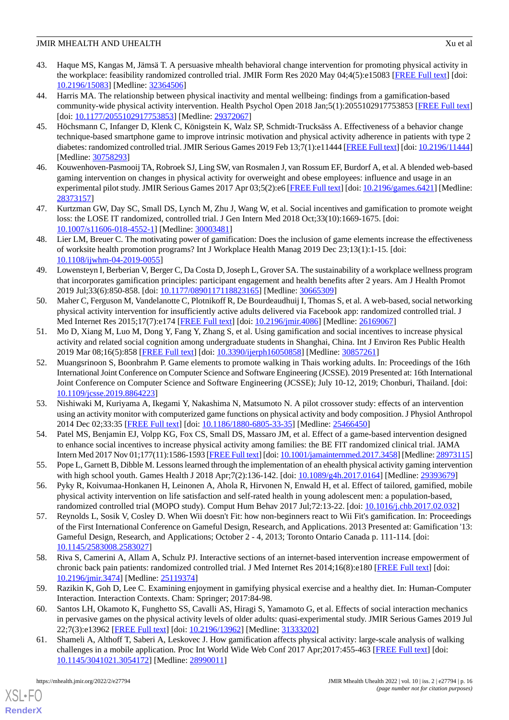- <span id="page-15-13"></span>43. Haque MS, Kangas M, Jämsä T. A persuasive mhealth behavioral change intervention for promoting physical activity in the workplace: feasibility randomized controlled trial. JMIR Form Res 2020 May 04;4(5):e15083 [\[FREE Full text](https://formative.jmir.org/2020/5/e15083/)] [doi: [10.2196/15083\]](http://dx.doi.org/10.2196/15083) [Medline: [32364506\]](http://www.ncbi.nlm.nih.gov/entrez/query.fcgi?cmd=Retrieve&db=PubMed&list_uids=32364506&dopt=Abstract)
- <span id="page-15-12"></span>44. Harris MA. The relationship between physical inactivity and mental wellbeing: findings from a gamification-based community-wide physical activity intervention. Health Psychol Open 2018 Jan;5(1):2055102917753853 [\[FREE Full text](https://journals.sagepub.com/doi/10.1177/2055102917753853?url_ver=Z39.88-2003&rfr_id=ori:rid:crossref.org&rfr_dat=cr_pub%3dpubmed)] [doi: [10.1177/2055102917753853](http://dx.doi.org/10.1177/2055102917753853)] [Medline: [29372067\]](http://www.ncbi.nlm.nih.gov/entrez/query.fcgi?cmd=Retrieve&db=PubMed&list_uids=29372067&dopt=Abstract)
- <span id="page-15-5"></span>45. Höchsmann C, Infanger D, Klenk C, Königstein K, Walz SP, Schmidt-Trucksäss A. Effectiveness of a behavior change technique-based smartphone game to improve intrinsic motivation and physical activity adherence in patients with type 2 diabetes: randomized controlled trial. JMIR Serious Games 2019 Feb 13;7(1):e11444 [\[FREE Full text\]](https://games.jmir.org/2019/1/e11444/) [doi: [10.2196/11444\]](http://dx.doi.org/10.2196/11444) [Medline: [30758293](http://www.ncbi.nlm.nih.gov/entrez/query.fcgi?cmd=Retrieve&db=PubMed&list_uids=30758293&dopt=Abstract)]
- <span id="page-15-17"></span>46. Kouwenhoven-Pasmooij TA, Robroek SJ, Ling SW, van Rosmalen J, van Rossum EF, Burdorf A, et al. A blended web-based gaming intervention on changes in physical activity for overweight and obese employees: influence and usage in an experimental pilot study. JMIR Serious Games 2017 Apr 03;5(2):e6 [\[FREE Full text\]](http://games.jmir.org/2017/2/e6/) [doi: [10.2196/games.6421](http://dx.doi.org/10.2196/games.6421)] [Medline: [28373157](http://www.ncbi.nlm.nih.gov/entrez/query.fcgi?cmd=Retrieve&db=PubMed&list_uids=28373157&dopt=Abstract)]
- <span id="page-15-7"></span><span id="page-15-6"></span>47. Kurtzman GW, Day SC, Small DS, Lynch M, Zhu J, Wang W, et al. Social incentives and gamification to promote weight loss: the LOSE IT randomized, controlled trial. J Gen Intern Med 2018 Oct;33(10):1669-1675. [doi: [10.1007/s11606-018-4552-1\]](http://dx.doi.org/10.1007/s11606-018-4552-1) [Medline: [30003481](http://www.ncbi.nlm.nih.gov/entrez/query.fcgi?cmd=Retrieve&db=PubMed&list_uids=30003481&dopt=Abstract)]
- <span id="page-15-14"></span>48. Lier LM, Breuer C. The motivating power of gamification: Does the inclusion of game elements increase the effectiveness of worksite health promotion programs? Int J Workplace Health Manag 2019 Dec 23;13(1):1-15. [doi: [10.1108/ijwhm-04-2019-0055](http://dx.doi.org/10.1108/ijwhm-04-2019-0055)]
- <span id="page-15-15"></span>49. Lowensteyn I, Berberian V, Berger C, Da Costa D, Joseph L, Grover SA. The sustainability of a workplace wellness program that incorporates gamification principles: participant engagement and health benefits after 2 years. Am J Health Promot 2019 Jul;33(6):850-858. [doi: [10.1177/0890117118823165\]](http://dx.doi.org/10.1177/0890117118823165) [Medline: [30665309\]](http://www.ncbi.nlm.nih.gov/entrez/query.fcgi?cmd=Retrieve&db=PubMed&list_uids=30665309&dopt=Abstract)
- <span id="page-15-11"></span>50. Maher C, Ferguson M, Vandelanotte C, Plotnikoff R, De Bourdeaudhuij I, Thomas S, et al. A web-based, social networking physical activity intervention for insufficiently active adults delivered via Facebook app: randomized controlled trial. J Med Internet Res 2015;17(7):e174 [[FREE Full text](http://www.jmir.org/2015/7/e174/)] [doi: [10.2196/jmir.4086](http://dx.doi.org/10.2196/jmir.4086)] [Medline: [26169067](http://www.ncbi.nlm.nih.gov/entrez/query.fcgi?cmd=Retrieve&db=PubMed&list_uids=26169067&dopt=Abstract)]
- <span id="page-15-2"></span>51. Mo D, Xiang M, Luo M, Dong Y, Fang Y, Zhang S, et al. Using gamification and social incentives to increase physical activity and related social cognition among undergraduate students in Shanghai, China. Int J Environ Res Public Health 2019 Mar 08;16(5):858 [\[FREE Full text\]](https://www.mdpi.com/resolver?pii=ijerph16050858) [doi: [10.3390/ijerph16050858](http://dx.doi.org/10.3390/ijerph16050858)] [Medline: [30857261](http://www.ncbi.nlm.nih.gov/entrez/query.fcgi?cmd=Retrieve&db=PubMed&list_uids=30857261&dopt=Abstract)]
- <span id="page-15-8"></span>52. Muangsrinoon S, Boonbrahm P. Game elements to promote walking in Thais working adults. In: Proceedings of the 16th International Joint Conference on Computer Science and Software Engineering (JCSSE). 2019 Presented at: 16th International Joint Conference on Computer Science and Software Engineering (JCSSE); July 10-12, 2019; Chonburi, Thailand. [doi: [10.1109/jcsse.2019.8864223](http://dx.doi.org/10.1109/jcsse.2019.8864223)]
- <span id="page-15-9"></span>53. Nishiwaki M, Kuriyama A, Ikegami Y, Nakashima N, Matsumoto N. A pilot crossover study: effects of an intervention using an activity monitor with computerized game functions on physical activity and body composition. J Physiol Anthropol 2014 Dec 02;33:35 [\[FREE Full text](https://jphysiolanthropol.biomedcentral.com/articles/10.1186/1880-6805-33-35)] [doi: [10.1186/1880-6805-33-35\]](http://dx.doi.org/10.1186/1880-6805-33-35) [Medline: [25466450\]](http://www.ncbi.nlm.nih.gov/entrez/query.fcgi?cmd=Retrieve&db=PubMed&list_uids=25466450&dopt=Abstract)
- <span id="page-15-10"></span><span id="page-15-0"></span>54. Patel MS, Benjamin EJ, Volpp KG, Fox CS, Small DS, Massaro JM, et al. Effect of a game-based intervention designed to enhance social incentives to increase physical activity among families: the BE FIT randomized clinical trial. JAMA Intern Med 2017 Nov 01;177(11):1586-1593 [\[FREE Full text\]](http://europepmc.org/abstract/MED/28973115) [doi: [10.1001/jamainternmed.2017.3458\]](http://dx.doi.org/10.1001/jamainternmed.2017.3458) [Medline: [28973115\]](http://www.ncbi.nlm.nih.gov/entrez/query.fcgi?cmd=Retrieve&db=PubMed&list_uids=28973115&dopt=Abstract)
- <span id="page-15-18"></span>55. Pope L, Garnett B, Dibble M. Lessons learned through the implementation of an ehealth physical activity gaming intervention with high school youth. Games Health J 2018 Apr;7(2):136-142. [doi: [10.1089/g4h.2017.0164\]](http://dx.doi.org/10.1089/g4h.2017.0164) [Medline: [29393679](http://www.ncbi.nlm.nih.gov/entrez/query.fcgi?cmd=Retrieve&db=PubMed&list_uids=29393679&dopt=Abstract)]
- 56. Pyky R, Koivumaa-Honkanen H, Leinonen A, Ahola R, Hirvonen N, Enwald H, et al. Effect of tailored, gamified, mobile physical activity intervention on life satisfaction and self-rated health in young adolescent men: a population-based, randomized controlled trial (MOPO study). Comput Hum Behav 2017 Jul;72:13-22. [doi: [10.1016/j.chb.2017.02.032](http://dx.doi.org/10.1016/j.chb.2017.02.032)]
- <span id="page-15-16"></span><span id="page-15-1"></span>57. Reynolds L, Sosik V, Cosley D. When Wii doesn't Fit: how non-beginners react to Wii Fit's gamification. In: Proceedings of the First International Conference on Gameful Design, Research, and Applications. 2013 Presented at: Gamification '13: Gameful Design, Research, and Applications; October 2 - 4, 2013; Toronto Ontario Canada p. 111-114. [doi: [10.1145/2583008.2583027](http://dx.doi.org/10.1145/2583008.2583027)]
- <span id="page-15-3"></span>58. Riva S, Camerini A, Allam A, Schulz PJ. Interactive sections of an internet-based intervention increase empowerment of chronic back pain patients: randomized controlled trial. J Med Internet Res 2014;16(8):e180 [\[FREE Full text\]](http://www.jmir.org/2014/8/e180/) [doi: [10.2196/jmir.3474](http://dx.doi.org/10.2196/jmir.3474)] [Medline: [25119374](http://www.ncbi.nlm.nih.gov/entrez/query.fcgi?cmd=Retrieve&db=PubMed&list_uids=25119374&dopt=Abstract)]
- <span id="page-15-4"></span>59. Razikin K, Goh D, Lee C. Examining enjoyment in gamifying physical exercise and a healthy diet. In: Human-Computer Interaction. Interaction Contexts. Cham: Springer; 2017:84-98.
- 60. Santos LH, Okamoto K, Funghetto SS, Cavalli AS, Hiragi S, Yamamoto G, et al. Effects of social interaction mechanics in pervasive games on the physical activity levels of older adults: quasi-experimental study. JMIR Serious Games 2019 Jul 22;7(3):e13962 [\[FREE Full text](https://games.jmir.org/2019/3/e13962/)] [doi: [10.2196/13962\]](http://dx.doi.org/10.2196/13962) [Medline: [31333202\]](http://www.ncbi.nlm.nih.gov/entrez/query.fcgi?cmd=Retrieve&db=PubMed&list_uids=31333202&dopt=Abstract)
- 61. Shameli A, Althoff T, Saberi A, Leskovec J. How gamification affects physical activity: large-scale analysis of walking challenges in a mobile application. Proc Int World Wide Web Conf 2017 Apr;2017:455-463 [[FREE Full text\]](http://europepmc.org/abstract/MED/28990011) [doi: [10.1145/3041021.3054172](http://dx.doi.org/10.1145/3041021.3054172)] [Medline: [28990011](http://www.ncbi.nlm.nih.gov/entrez/query.fcgi?cmd=Retrieve&db=PubMed&list_uids=28990011&dopt=Abstract)]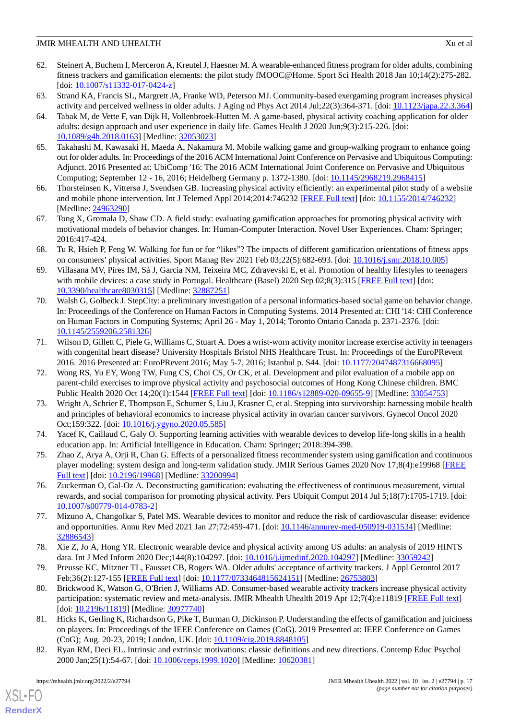- <span id="page-16-1"></span>62. Steinert A, Buchem I, Merceron A, Kreutel J, Haesner M. A wearable-enhanced fitness program for older adults, combining fitness trackers and gamification elements: the pilot study fMOOC@Home. Sport Sci Health 2018 Jan 10;14(2):275-282.  $[doi: 10.1007/s11332-017-0424-z]$  $[doi: 10.1007/s11332-017-0424-z]$
- <span id="page-16-14"></span><span id="page-16-2"></span>63. Strand KA, Francis SL, Margrett JA, Franke WD, Peterson MJ. Community-based exergaming program increases physical activity and perceived wellness in older adults. J Aging nd Phys Act 2014 Jul;22(3):364-371. [doi: [10.1123/japa.22.3.364](http://dx.doi.org/10.1123/japa.22.3.364)]
- 64. Tabak M, de Vette F, van Dijk H, Vollenbroek-Hutten M. A game-based, physical activity coaching application for older adults: design approach and user experience in daily life. Games Health J 2020 Jun;9(3):215-226. [doi: [10.1089/g4h.2018.0163\]](http://dx.doi.org/10.1089/g4h.2018.0163) [Medline: [32053023\]](http://www.ncbi.nlm.nih.gov/entrez/query.fcgi?cmd=Retrieve&db=PubMed&list_uids=32053023&dopt=Abstract)
- <span id="page-16-8"></span>65. Takahashi M, Kawasaki H, Maeda A, Nakamura M. Mobile walking game and group-walking program to enhance going out for older adults. In: Proceedings of the 2016 ACM International Joint Conference on Pervasive and Ubiquitous Computing: Adjunct. 2016 Presented at: UbiComp '16: The 2016 ACM International Joint Conference on Pervasive and Ubiquitous Computing; September 12 - 16, 2016; Heidelberg Germany p. 1372-1380. [doi: [10.1145/2968219.2968415](http://dx.doi.org/10.1145/2968219.2968415)]
- <span id="page-16-6"></span><span id="page-16-3"></span>66. Thorsteinsen K, Vittersø J, Svendsen GB. Increasing physical activity efficiently: an experimental pilot study of a website and mobile phone intervention. Int J Telemed Appl 2014;2014:746232 [\[FREE Full text\]](https://dx.doi.org/10.1155/2014/746232) [doi: [10.1155/2014/746232](http://dx.doi.org/10.1155/2014/746232)] [Medline: [24963290](http://www.ncbi.nlm.nih.gov/entrez/query.fcgi?cmd=Retrieve&db=PubMed&list_uids=24963290&dopt=Abstract)]
- <span id="page-16-10"></span>67. Tong X, Gromala D, Shaw CD. A field study: evaluating gamification approaches for promoting physical activity with motivational models of behavior changes. In: Human-Computer Interaction. Novel User Experiences. Cham: Springer; 2016:417-424.
- <span id="page-16-11"></span>68. Tu R, Hsieh P, Feng W. Walking for fun or for "likes"? The impacts of different gamification orientations of fitness apps on consumers' physical activities. Sport Manag Rev 2021 Feb 03;22(5):682-693. [doi: [10.1016/j.smr.2018.10.005\]](http://dx.doi.org/10.1016/j.smr.2018.10.005)
- <span id="page-16-7"></span>69. Villasana MV, Pires IM, Sá J, Garcia NM, Teixeira MC, Zdravevski E, et al. Promotion of healthy lifestyles to teenagers with mobile devices: a case study in Portugal. Healthcare (Basel) 2020 Sep 02;8(3):315 [\[FREE Full text\]](https://www.mdpi.com/resolver?pii=healthcare8030315) [doi: [10.3390/healthcare8030315\]](http://dx.doi.org/10.3390/healthcare8030315) [Medline: [32887251\]](http://www.ncbi.nlm.nih.gov/entrez/query.fcgi?cmd=Retrieve&db=PubMed&list_uids=32887251&dopt=Abstract)
- <span id="page-16-12"></span>70. Walsh G, Golbeck J. StepCity: a preliminary investigation of a personal informatics-based social game on behavior change. In: Proceedings of the Conference on Human Factors in Computing Systems. 2014 Presented at: CHI '14: CHI Conference on Human Factors in Computing Systems; April 26 - May 1, 2014; Toronto Ontario Canada p. 2371-2376. [doi: [10.1145/2559206.2581326](http://dx.doi.org/10.1145/2559206.2581326)]
- <span id="page-16-4"></span>71. Wilson D, Gillett C, Piele G, Williams C, Stuart A. Does a wrist-worn activity monitor increase exercise activity in teenagers with congenital heart disease? University Hospitals Bristol NHS Healthcare Trust. In: Proceedings of the EuroPRevent 2016. 2016 Presented at: EuroPRevent 2016; May 5-7, 2016; Istanbul p. S44. [doi: [10.1177/2047487316668095\]](http://dx.doi.org/10.1177/2047487316668095)
- <span id="page-16-9"></span>72. Wong RS, Yu EY, Wong TW, Fung CS, Choi CS, Or CK, et al. Development and pilot evaluation of a mobile app on parent-child exercises to improve physical activity and psychosocial outcomes of Hong Kong Chinese children. BMC Public Health 2020 Oct 14;20(1):1544 [\[FREE Full text\]](https://bmcpublichealth.biomedcentral.com/articles/10.1186/s12889-020-09655-9) [doi: [10.1186/s12889-020-09655-9](http://dx.doi.org/10.1186/s12889-020-09655-9)] [Medline: [33054753\]](http://www.ncbi.nlm.nih.gov/entrez/query.fcgi?cmd=Retrieve&db=PubMed&list_uids=33054753&dopt=Abstract)
- <span id="page-16-13"></span><span id="page-16-5"></span>73. Wright A, Schrier E, Thompson E, Schumer S, Liu J, Krasner C, et al. Stepping into survivorship: harnessing mobile health and principles of behavioral economics to increase physical activity in ovarian cancer survivors. Gynecol Oncol 2020 Oct;159:322. [doi: [10.1016/j.ygyno.2020.05.585\]](http://dx.doi.org/10.1016/j.ygyno.2020.05.585)
- <span id="page-16-0"></span>74. Yacef K, Caillaud C, Galy O. Supporting learning activities with wearable devices to develop life-long skills in a health education app. In: Artificial Intelligence in Education. Cham: Springer; 2018:394-398.
- <span id="page-16-15"></span>75. Zhao Z, Arya A, Orji R, Chan G. Effects of a personalized fitness recommender system using gamification and continuous player modeling: system design and long-term validation study. JMIR Serious Games 2020 Nov 17;8(4):e19968 [[FREE](https://games.jmir.org/2020/4/e19968/) [Full text\]](https://games.jmir.org/2020/4/e19968/) [doi: [10.2196/19968\]](http://dx.doi.org/10.2196/19968) [Medline: [33200994](http://www.ncbi.nlm.nih.gov/entrez/query.fcgi?cmd=Retrieve&db=PubMed&list_uids=33200994&dopt=Abstract)]
- <span id="page-16-16"></span>76. Zuckerman O, Gal-Oz A. Deconstructing gamification: evaluating the effectiveness of continuous measurement, virtual rewards, and social comparison for promoting physical activity. Pers Ubiquit Comput 2014 Jul 5;18(7):1705-1719. [doi: [10.1007/s00779-014-0783-2\]](http://dx.doi.org/10.1007/s00779-014-0783-2)
- <span id="page-16-18"></span><span id="page-16-17"></span>77. Mizuno A, Changolkar S, Patel MS. Wearable devices to monitor and reduce the risk of cardiovascular disease: evidence and opportunities. Annu Rev Med 2021 Jan 27;72:459-471. [doi: [10.1146/annurev-med-050919-031534](http://dx.doi.org/10.1146/annurev-med-050919-031534)] [Medline: [32886543](http://www.ncbi.nlm.nih.gov/entrez/query.fcgi?cmd=Retrieve&db=PubMed&list_uids=32886543&dopt=Abstract)]
- 78. Xie Z, Jo A, Hong YR. Electronic wearable device and physical activity among US adults: an analysis of 2019 HINTS data. Int J Med Inform 2020 Dec;144(8):104297. [doi: [10.1016/j.ijmedinf.2020.104297\]](http://dx.doi.org/10.1016/j.ijmedinf.2020.104297) [Medline: [33059242\]](http://www.ncbi.nlm.nih.gov/entrez/query.fcgi?cmd=Retrieve&db=PubMed&list_uids=33059242&dopt=Abstract)
- <span id="page-16-19"></span>79. Preusse KC, Mitzner TL, Fausset CB, Rogers WA. Older adults' acceptance of activity trackers. J Appl Gerontol 2017 Feb;36(2):127-155 [[FREE Full text](http://europepmc.org/abstract/MED/26753803)] [doi: [10.1177/0733464815624151\]](http://dx.doi.org/10.1177/0733464815624151) [Medline: [26753803\]](http://www.ncbi.nlm.nih.gov/entrez/query.fcgi?cmd=Retrieve&db=PubMed&list_uids=26753803&dopt=Abstract)
- <span id="page-16-20"></span>80. Brickwood K, Watson G, O'Brien J, Williams AD. Consumer-based wearable activity trackers increase physical activity participation: systematic review and meta-analysis. JMIR Mhealth Uhealth 2019 Apr 12;7(4):e11819 [\[FREE Full text\]](http://mhealth.jmir.org/2019/4/e11819/) [doi: [10.2196/11819](http://dx.doi.org/10.2196/11819)] [Medline: [30977740\]](http://www.ncbi.nlm.nih.gov/entrez/query.fcgi?cmd=Retrieve&db=PubMed&list_uids=30977740&dopt=Abstract)
- 81. Hicks K, Gerling K, Richardson G, Pike T, Burman O, Dickinson P. Understanding the effects of gamification and juiciness on players. In: Proceedings of the IEEE Conference on Games (CoG). 2019 Presented at: IEEE Conference on Games (CoG); Aug. 20-23, 2019; London, UK. [doi: [10.1109/cig.2019.8848105\]](http://dx.doi.org/10.1109/cig.2019.8848105)
- 82. Ryan RM, Deci EL. Intrinsic and extrinsic motivations: classic definitions and new directions. Contemp Educ Psychol 2000 Jan;25(1):54-67. [doi: [10.1006/ceps.1999.1020](http://dx.doi.org/10.1006/ceps.1999.1020)] [Medline: [10620381](http://www.ncbi.nlm.nih.gov/entrez/query.fcgi?cmd=Retrieve&db=PubMed&list_uids=10620381&dopt=Abstract)]